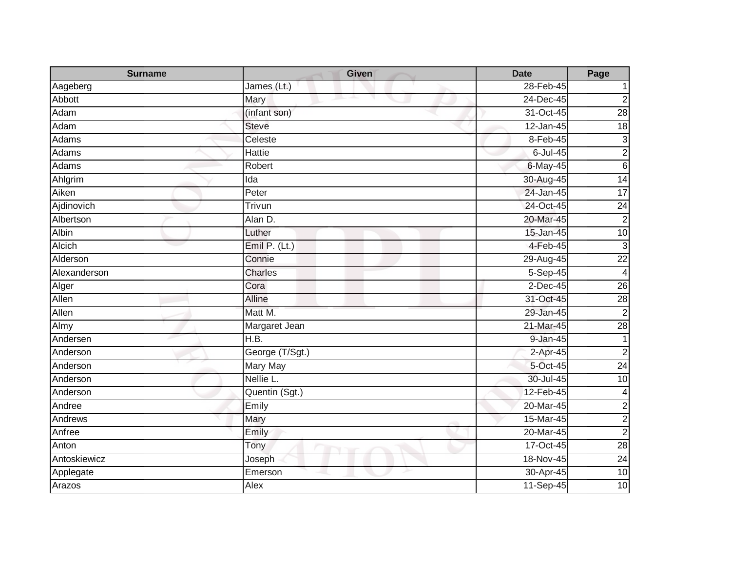| <b>Surname</b> | <b>Given</b>    | <b>Date</b> | Page            |
|----------------|-----------------|-------------|-----------------|
| Aageberg       | James (Lt.)     | 28-Feb-45   |                 |
| Abbott         | Mary            | 24-Dec-45   | $\overline{2}$  |
| Adam           | (infant son)    | 31-Oct-45   | $\overline{28}$ |
| Adam           | <b>Steve</b>    | 12-Jan-45   | 18              |
| Adams          | Celeste         | 8-Feb-45    | 3               |
| Adams          | Hattie          | $6$ -Jul-45 | $\overline{2}$  |
| Adams          | Robert          | $6$ -May-45 | $6\phantom{.}6$ |
| Ahlgrim        | Ida             | 30-Aug-45   | 14              |
| Aiken          | Peter           | 24-Jan-45   | 17              |
| Ajdinovich     | Trivun          | 24-Oct-45   | $\overline{24}$ |
| Albertson      | Alan D.         | 20-Mar-45   | $\overline{c}$  |
| Albin          | Luther          | 15-Jan-45   | 10              |
| Alcich         | Emil P. (Lt.)   | 4-Feb-45    | $\mathbf{3}$    |
| Alderson       | Connie          | 29-Aug-45   | $\overline{22}$ |
| Alexanderson   | <b>Charles</b>  | 5-Sep-45    | $\overline{4}$  |
| Alger          | Cora            | $2$ -Dec-45 | 26              |
| Allen          | <b>Alline</b>   | 31-Oct-45   | $\overline{28}$ |
| Allen          | Matt M.         | 29-Jan-45   | $\overline{2}$  |
| Almy           | Margaret Jean   | 21-Mar-45   | 28              |
| Andersen       | H.B.            | 9-Jan-45    |                 |
| Anderson       | George (T/Sgt.) | $2-Apr-45$  | $\overline{2}$  |
| Anderson       | Mary May        | 5-Oct-45    | $\overline{24}$ |
| Anderson       | Nellie L.       | 30-Jul-45   | $\overline{10}$ |
| Anderson       | Quentin (Sgt.)  | 12-Feb-45   | $\overline{a}$  |
| Andree         | Emily           | 20-Mar-45   | $\overline{c}$  |
| Andrews        | <b>Mary</b>     | 15-Mar-45   | $\overline{c}$  |
| Anfree         | Emily           | 20-Mar-45   | $\overline{c}$  |
| Anton          | Tony            | 17-Oct-45   | $\overline{28}$ |
| Antoskiewicz   | Joseph          | 18-Nov-45   | $\overline{24}$ |
| Applegate      | Emerson         | 30-Apr-45   | 10              |
| Arazos         | Alex            | 11-Sep-45   | 10              |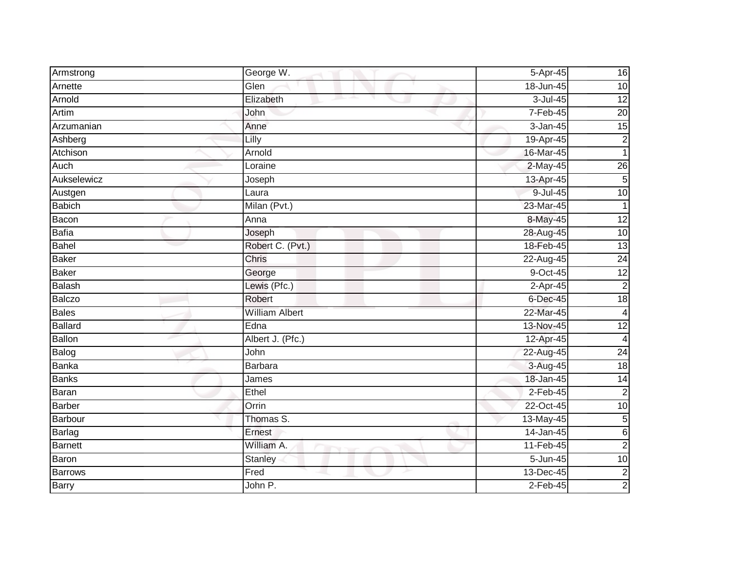| Armstrong      | George W.             | 5-Apr-45     | 16              |
|----------------|-----------------------|--------------|-----------------|
| Arnette        | Glen                  | 18-Jun-45    | 10              |
| Arnold         | Elizabeth             | $3$ -Jul-45  | 12              |
| Artim          | John                  | 7-Feb-45     | 20              |
| Arzumanian     | Anne                  | $3 - Jan-45$ | 15              |
| Ashberg        | Lilly                 | 19-Apr-45    | $\mathbf{2}$    |
| Atchison       | Arnold                | 16-Mar-45    | $\mathbf{1}$    |
| Auch           | Loraine               | $2$ -May-45  | 26              |
| Aukselewicz    | Joseph                | 13-Apr-45    | $5\overline{)}$ |
| Austgen        | Laura                 | 9-Jul-45     | 10              |
| <b>Babich</b>  | Milan (Pvt.)          | 23-Mar-45    | $\mathbf{1}$    |
| Bacon          | Anna                  | 8-May-45     | 12              |
| <b>Bafia</b>   | Joseph                | 28-Aug-45    | 10              |
| Bahel          | Robert C. (Pvt.)      | 18-Feb-45    | 13              |
| <b>Baker</b>   | Chris                 | 22-Aug-45    | $\overline{24}$ |
| <b>Baker</b>   | George                | 9-Oct-45     | 12              |
| Balash         | Lewis (Pfc.)          | 2-Apr-45     | $\overline{2}$  |
| <b>Balczo</b>  | Robert                | 6-Dec-45     | 18              |
| <b>Bales</b>   | <b>William Albert</b> | 22-Mar-45    | $\overline{4}$  |
| <b>Ballard</b> | Edna                  | 13-Nov-45    | $\overline{12}$ |
| Ballon         | Albert J. (Pfc.)      | 12-Apr-45    | 4               |
| Balog          | John                  | 22-Aug-45    | 24              |
| Banka          | <b>Barbara</b>        | 3-Aug-45     | 18              |
| <b>Banks</b>   | James                 | 18-Jan-45    | 14              |
| Baran          | Ethel                 | $2-Feb-45$   | $\overline{2}$  |
| <b>Barber</b>  | Orrin                 | $22-Oct-45$  | 10              |
| Barbour        | Thomas S.             | 13-May-45    | 5               |
| Barlag         | Ernest                | 14-Jan-45    | 6               |
| <b>Barnett</b> | William A.            | 11-Feb-45    | $\overline{2}$  |
| Baron          | <b>Stanley</b>        | 5-Jun-45     | 10              |
| <b>Barrows</b> | Fred                  | 13-Dec-45    | $\overline{c}$  |
| <b>Barry</b>   | John P.               | $2-Feb-45$   | $\mathbf{2}$    |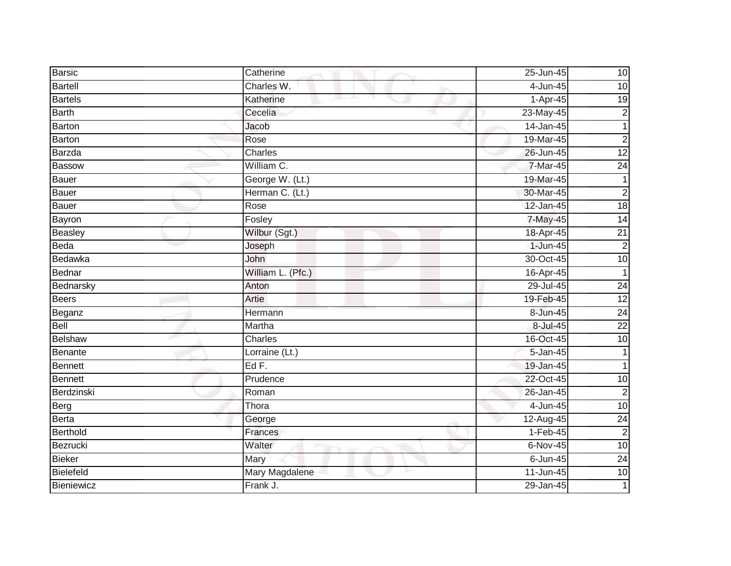| <b>Barsic</b>  | Catherine                | 25-Jun-45    | 10              |
|----------------|--------------------------|--------------|-----------------|
| <b>Bartell</b> | Charles W.               | 4-Jun-45     | 10              |
| <b>Bartels</b> | Katherine                | $1-Apr-45$   | 19              |
| <b>Barth</b>   | Cecelia                  | 23-May-45    | $\overline{c}$  |
| Barton         | Jacob                    | 14-Jan-45    | $\mathbf{1}$    |
| Barton         | Rose                     | 19-Mar-45    | $\overline{c}$  |
| Barzda         | Charles                  | 26-Jun-45    | 12              |
| <b>Bassow</b>  | William C.               | 7-Mar-45     | $\overline{24}$ |
| <b>Bauer</b>   | George W. (Lt.)          | 19-Mar-45    | 1               |
| <b>Bauer</b>   | Herman C. (Lt.)          | 30-Mar-45    | $\overline{2}$  |
| <b>Bauer</b>   | Rose                     | 12-Jan-45    | $\frac{1}{8}$   |
| Bayron         | Fosley                   | 7-May-45     | $\overline{14}$ |
| Beasley        | Wilbur (Sgt.)            | 18-Apr-45    | $\overline{21}$ |
| Beda           | Joseph                   | 1-Jun-45     | $\overline{2}$  |
| Bedawka        | John                     | 30-Oct-45    | 10              |
| Bednar         | William L. (Pfc.)        | 16-Apr-45    | 1               |
| Bednarsky      | Anton                    | 29-Jul-45    | 24              |
| <b>Beers</b>   | Artie                    | 19-Feb-45    | $\overline{12}$ |
| Beganz         | Hermann                  | 8-Jun-45     | $\overline{24}$ |
| <b>Bell</b>    | Martha                   | 8-Jul-45     | $\overline{22}$ |
| <b>Belshaw</b> | Charles                  | 16-Oct-45    | 10              |
| Benante        | Lorraine (Lt.)           | 5-Jan-45     | 1               |
| Bennett        | EdF.                     | 19-Jan-45    | $\mathbf{1}$    |
| <b>Bennett</b> | Prudence                 | 22-Oct-45    | $\overline{10}$ |
| Berdzinski     | Roman                    | 26-Jan-45    | $\overline{2}$  |
| <b>Berg</b>    | Thora                    | 4-Jun-45     | $\overline{10}$ |
| Berta          | George                   | 12-Aug-45    | 24              |
| Berthold       | Frances                  | $1-Feb-45$   | $\overline{2}$  |
| Bezrucki       | Walter<br><b>Service</b> | 6-Nov-45     | 10              |
| <b>Bieker</b>  | Mary                     | $6 - Jun-45$ | $\overline{24}$ |
| Bielefeld      | Mary Magdalene           | 11-Jun-45    | 10              |
| Bieniewicz     | Frank J.                 | 29-Jan-45    |                 |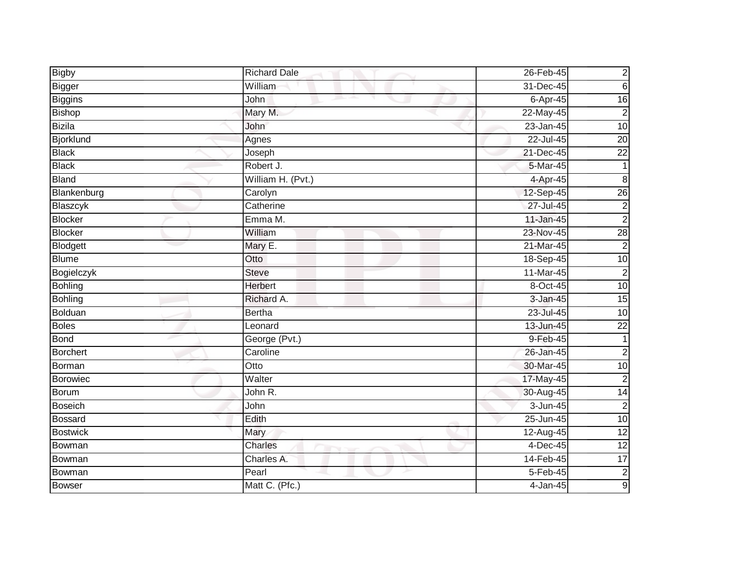| <b>Bigby</b>     | <b>Richard Dale</b> | 26-Feb-45     | $\mathbf{2}$     |
|------------------|---------------------|---------------|------------------|
| Bigger           | William             | 31-Dec-45     | $6\phantom{.}6$  |
| <b>Biggins</b>   | John                | 6-Apr-45      | 16               |
| <b>Bishop</b>    | Mary M.             | 22-May-45     | $\overline{2}$   |
| <b>Bizila</b>    | John                | $23 - Jan-45$ | 10               |
| <b>Bjorklund</b> | Agnes               | 22-Jul-45     | 20               |
| <b>Black</b>     | Joseph              | 21-Dec-45     | $\overline{22}$  |
| <b>Black</b>     | Robert J.           | 5-Mar-45      |                  |
| <b>Bland</b>     | William H. (Pvt.)   | 4-Apr-45      | 8                |
| Blankenburg      | Carolyn             | 12-Sep-45     | 26               |
| Blaszcyk         | Catherine           | 27-Jul-45     | $\mathbf{2}$     |
| <b>Blocker</b>   | Emma M.             | $11$ -Jan-45  | $\mathbf{2}$     |
| <b>Blocker</b>   | William             | 23-Nov-45     | 28               |
| Blodgett         | Mary E.             | 21-Mar-45     | $\overline{2}$   |
| <b>Blume</b>     | Otto                | 18-Sep-45     | 10               |
| Bogielczyk       | <b>Steve</b>        | 11-Mar-45     | $\overline{2}$   |
| <b>Bohling</b>   | <b>Herbert</b>      | 8-Oct-45      | 10               |
| <b>Bohling</b>   | Richard A.          | 3-Jan-45      | 15               |
| <b>Bolduan</b>   | <b>Bertha</b>       | 23-Jul-45     | 10               |
| <b>Boles</b>     | Leonard             | 13-Jun-45     | $\overline{22}$  |
| <b>Bond</b>      | George (Pvt.)       | 9-Feb-45      | 1                |
| <b>Borchert</b>  | Caroline            | 26-Jan-45     | $\boldsymbol{2}$ |
| Borman           | Otto                | 30-Mar-45     | 10               |
| <b>Borowiec</b>  | Walter              | 17-May-45     | $\mathbf{2}$     |
| Borum            | John R.             | 30-Aug-45     | $\overline{14}$  |
| <b>Boseich</b>   | John                | 3-Jun-45      | $\overline{2}$   |
| <b>Bossard</b>   | Edith               | 25-Jun-45     | 10               |
| <b>Bostwick</b>  | Mary                | 12-Aug-45     | 12               |
| Bowman           | Charles             | 4-Dec-45      | 12               |
| Bowman           | Charles A.          | 14-Feb-45     | 17               |
| Bowman           | Pearl               | $5-Feb-45$    | $\overline{c}$   |
| <b>Bowser</b>    | Matt C. (Pfc.)      | 4-Jan-45      | 9                |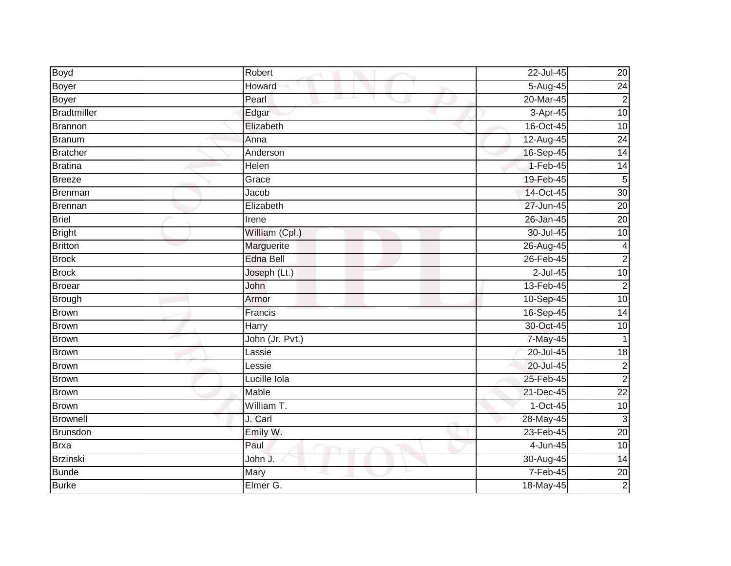| <b>Boyd</b>        | Robert           | 22-Jul-45  | 20              |
|--------------------|------------------|------------|-----------------|
| Boyer              | Howard           | 5-Aug-45   | 24              |
| <b>Boyer</b>       | Pearl            | 20-Mar-45  | $\overline{2}$  |
| <b>Bradtmiller</b> | Edgar            | 3-Apr-45   | 10              |
| <b>Brannon</b>     | Elizabeth        | 16-Oct-45  | 10              |
| Branum             | Anna             | 12-Aug-45  | $\overline{24}$ |
| <b>Bratcher</b>    | Anderson         | 16-Sep-45  | 14              |
| <b>Bratina</b>     | Helen            | $1-Feb-45$ | 14              |
| <b>Breeze</b>      | Grace            | 19-Feb-45  | $\overline{5}$  |
| <b>Brenman</b>     | Jacob            | 14-Oct-45  | 30              |
| Brennan            | Elizabeth        | 27-Jun-45  | $\overline{20}$ |
| <b>Briel</b>       | Irene            | 26-Jan-45  | 20              |
| <b>Bright</b>      | William (Cpl.)   | 30-Jul-45  | 10              |
| <b>Britton</b>     | Marguerite       | 26-Aug-45  | 4               |
| <b>Brock</b>       | <b>Edna Bell</b> | 26-Feb-45  | $\overline{2}$  |
| <b>Brock</b>       | Joseph (Lt.)     | 2-Jul-45   | 10              |
| <b>Broear</b>      | John             | 13-Feb-45  | $\overline{2}$  |
| <b>Brough</b>      | Armor            | 10-Sep-45  | 10              |
| <b>Brown</b>       | Francis          | 16-Sep-45  | $\overline{14}$ |
| <b>Brown</b>       | Harry            | 30-Oct-45  | 10              |
| Brown              | John (Jr. Pvt.)  | 7-May-45   |                 |
| <b>Brown</b>       | Lassie           | 20-Jul-45  | $\overline{18}$ |
| <b>Brown</b>       | Lessie           | 20-Jul-45  | $\mathbf{2}$    |
| <b>Brown</b>       | Lucille Iola     | 25-Feb-45  | $\overline{2}$  |
| <b>Brown</b>       | Mable            | 21-Dec-45  | $\overline{22}$ |
| <b>Brown</b>       | William T.       | $1-Oct-45$ | 10              |
| <b>Brownell</b>    | J. Carl          | 28-May-45  | 3               |
| Brunsdon           | Emily W.         | 23-Feb-45  | 20              |
| <b>Brxa</b>        | Paul             | 4-Jun-45   | 10              |
| <b>Brzinski</b>    | John J.          | 30-Aug-45  | $\overline{14}$ |
| <b>Bunde</b>       | Mary             | $7-Feb-45$ | 20              |
| <b>Burke</b>       | Elmer G.         | 18-May-45  | $\overline{2}$  |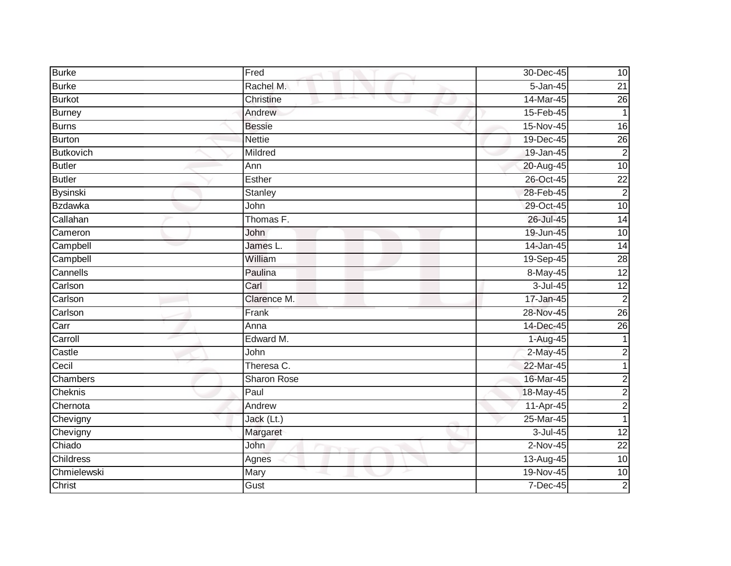| <b>Burke</b>     | Fred          | 30-Dec-45    | 10              |
|------------------|---------------|--------------|-----------------|
| <b>Burke</b>     | Rachel M.     | $5 - Jan-45$ | $\overline{21}$ |
| <b>Burkot</b>    | Christine     | 14-Mar-45    | 26              |
| <b>Burney</b>    | Andrew        | 15-Feb-45    |                 |
| <b>Burns</b>     | <b>Bessie</b> | 15-Nov-45    | $\overline{16}$ |
| <b>Burton</b>    | <b>Nettie</b> | 19-Dec-45    | $\overline{26}$ |
| <b>Butkovich</b> | Mildred       | 19-Jan-45    | $\overline{2}$  |
| <b>Butler</b>    | Ann           | 20-Aug-45    | $\overline{10}$ |
| <b>Butler</b>    | Esther        | 26-Oct-45    | $\overline{22}$ |
| <b>Bysinski</b>  | Stanley       | 28-Feb-45    | $\overline{2}$  |
| <b>Bzdawka</b>   | John          | 29-Oct-45    | 10              |
| Callahan         | Thomas F.     | 26-Jul-45    | $\overline{14}$ |
| Cameron          | John          | 19-Jun-45    | 10              |
| Campbell         | James L.      | 14-Jan-45    | 14              |
| Campbell         | William       | 19-Sep-45    | 28              |
| Cannells         | Paulina       | 8-May-45     | 12              |
| Carlson          | Carl          | $3 -$ Jul-45 | 12              |
| Carlson          | Clarence M.   | 17-Jan-45    | $\overline{c}$  |
| Carlson          | Frank         | 28-Nov-45    | 26              |
| Carr             | Anna          | 14-Dec-45    | 26              |
| Carroll          | Edward M.     | 1-Aug-45     | 1               |
| Castle           | John          | 2-May-45     | $\overline{c}$  |
| Cecil            | Theresa C.    | 22-Mar-45    |                 |
| Chambers         | Sharon Rose   | 16-Mar-45    | $\overline{c}$  |
| Cheknis          | Paul          | 18-May-45    | $\overline{c}$  |
| Chernota         | Andrew        | 11-Apr-45    | $\overline{c}$  |
| Chevigny         | Jack (Lt.)    | 25-Mar-45    | $\mathbf{1}$    |
| Chevigny         | Margaret      | 3-Jul-45     | $\overline{12}$ |
| Chiado           | John          | $2-Nov-45$   | $\overline{22}$ |
| Childress        | Agnes         | 13-Aug-45    | 10              |
| Chmielewski      | Mary          | 19-Nov-45    | 10              |
| Christ           | Gust          | 7-Dec-45     | $\overline{2}$  |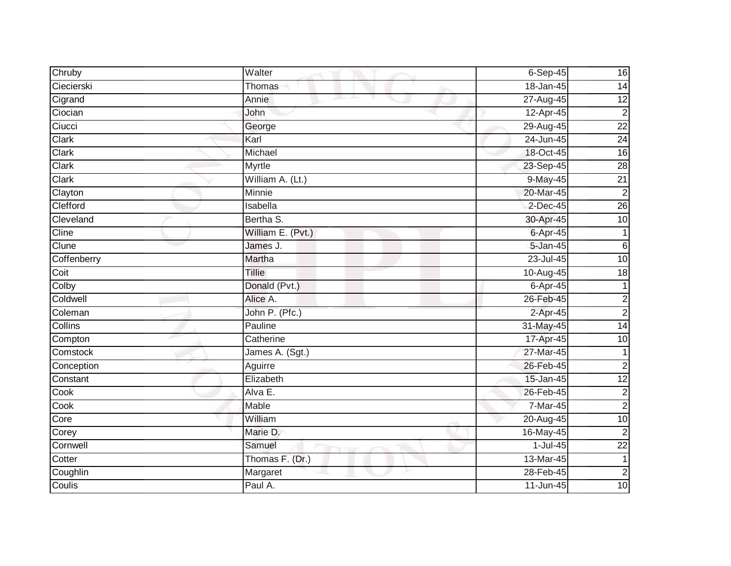| Chruby      | Walter            | $6-Sep-45$     | 16              |
|-------------|-------------------|----------------|-----------------|
| Ciecierski  | Thomas            | 18-Jan-45      | 14              |
| Cigrand     | Annie             | 27-Aug-45      | 12              |
| Ciocian     | John              | 12-Apr-45      | $\overline{2}$  |
| Ciucci      | George            | 29-Aug-45      | $\overline{22}$ |
| Clark       | Karl              | 24-Jun-45      | $\overline{24}$ |
| Clark       | Michael           | 18-Oct-45      | 16              |
| Clark       | Myrtle            | 23-Sep-45      | $\overline{28}$ |
| Clark       | William A. (Lt.)  | 9-May-45       | $\overline{21}$ |
| Clayton     | Minnie            | 20-Mar-45      | $\overline{2}$  |
| Clefford    | Isabella          | $2$ -Dec-45    | 26              |
| Cleveland   | Bertha S.         | 30-Apr-45      | 10              |
| Cline       | William E. (Pvt.) | 6-Apr-45       | $\mathbf{1}$    |
| Clune       | James J.          | 5-Jan-45       | 6               |
| Coffenberry | Martha            | $23 -$ Jul-45  | 10              |
| Coit        | Tillie            | 10-Aug-45      | 18              |
| Colby       | Donald (Pvt.)     | $6 - Apr - 45$ | $\mathbf{1}$    |
| Coldwell    | Alice A.          | 26-Feb-45      | $\mathbf{2}$    |
| Coleman     | John P. (Pfc.)    | 2-Apr-45       | $\overline{2}$  |
| Collins     | Pauline           | 31-May-45      | 14              |
| Compton     | Catherine         | 17-Apr-45      | 10              |
| Comstock    | James A. (Sgt.)   | 27-Mar-45      |                 |
| Conception  | Aguirre           | 26-Feb-45      | $\sqrt{2}$      |
| Constant    | Elizabeth         | 15-Jan-45      | 12              |
| Cook        | Alva E.           | 26-Feb-45      | $\overline{2}$  |
| Cook        | Mable             | 7-Mar-45       | $\overline{2}$  |
| Core        | William           | 20-Aug-45      | 10              |
| Corey       | Marie D.          | 16-May-45      | $\overline{2}$  |
| Cornwell    | Samuel            | $1-Jul-45$     | $\overline{22}$ |
| Cotter      | Thomas F. (Dr.)   | 13-Mar-45      | $\mathbf{1}$    |
| Coughlin    | Margaret          | 28-Feb-45      | $\overline{2}$  |
| Coulis      | Paul A.           | $11$ -Jun-45   | 10              |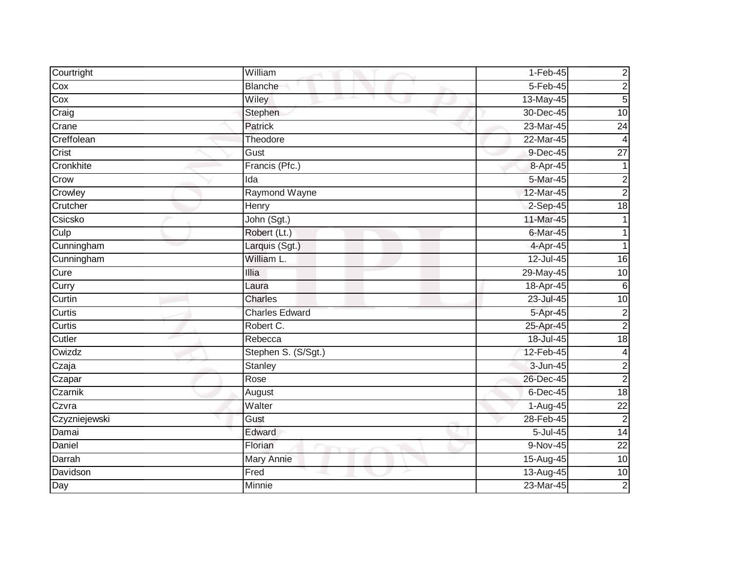| Courtright    | William               | $1-Feb-45$   | $\overline{\mathbf{c}}$ |
|---------------|-----------------------|--------------|-------------------------|
| Cox           | <b>Blanche</b>        | 5-Feb-45     | $\overline{c}$          |
| Cox           | Wiley                 | 13-May-45    | $\overline{5}$          |
| Craig         | Stephen               | 30-Dec-45    | 10                      |
| Crane         | <b>Patrick</b>        | 23-Mar-45    | 24                      |
| Creffolean    | Theodore              | 22-Mar-45    | 4                       |
| Crist         | Gust                  | 9-Dec-45     | $\overline{27}$         |
| Cronkhite     | Francis (Pfc.)        | 8-Apr-45     |                         |
| Crow          | Ida                   | 5-Mar-45     | $\overline{c}$          |
| Crowley       | Raymond Wayne         | 12-Mar-45    | $\overline{2}$          |
| Crutcher      | Henry                 | $2-Sep-45$   | $\overline{18}$         |
| Csicsko       | John (Sgt.)           | 11-Mar-45    |                         |
| Culp          | Robert (Lt.)          | 6-Mar-45     |                         |
| Cunningham    | Larquis (Sgt.)        | 4-Apr-45     |                         |
| Cunningham    | William L.            | $12$ -Jul-45 | 16                      |
| Cure          | Illia                 | 29-May-45    | 10                      |
| Curry         | Laura                 | 18-Apr-45    | $\sigma$                |
| Curtin        | <b>Charles</b>        | 23-Jul-45    | $\overline{10}$         |
| Curtis        | <b>Charles Edward</b> | 5-Apr-45     | $\overline{c}$          |
| Curtis        | Robert C.             | 25-Apr-45    | $\overline{2}$          |
| Cutler        | Rebecca               | 18-Jul-45    | 18                      |
| Cwizdz        | Stephen S. (S/Sgt.)   | 12-Feb-45    | 4                       |
| Czaja         | <b>Stanley</b>        | 3-Jun-45     | $\overline{c}$          |
| Czapar        | Rose                  | 26-Dec-45    | $\overline{c}$          |
| Czarnik       | August                | 6-Dec-45     | $\frac{1}{8}$           |
| Czvra         | Walter                | $1-Aug-45$   | $\overline{22}$         |
| Czyzniejewski | Gust                  | 28-Feb-45    | $\overline{c}$          |
| Damai         | Edward                | 5-Jul-45     | $\overline{14}$         |
| Daniel        | Florian               | 9-Nov-45     | $\overline{22}$         |
| Darrah        | Mary Annie            | 15-Aug-45    | 10                      |
| Davidson      | Fred                  | 13-Aug-45    | 10                      |
| Day           | Minnie                | 23-Mar-45    | $\overline{2}$          |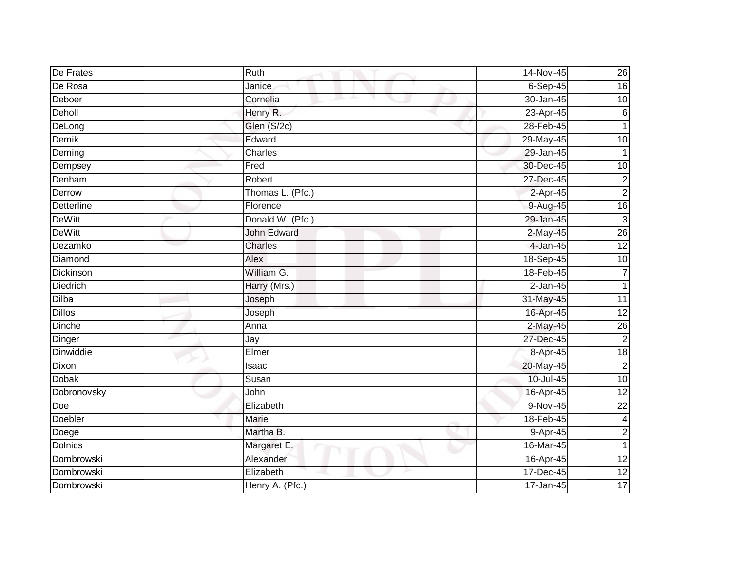| De Frates        | Ruth               | 14-Nov-45     | 26              |
|------------------|--------------------|---------------|-----------------|
| De Rosa          | Janice             | $6-Sep-45$    | 16              |
| Deboer           | Cornelia           | 30-Jan-45     | $\overline{10}$ |
| Deholl           | Henry R.           | 23-Apr-45     | $\,6$           |
| DeLong           | Glen (S/2c)        | 28-Feb-45     | 1               |
| Demik            | Edward             | 29-May-45     | 10              |
| Deming           | Charles            | 29-Jan-45     |                 |
| Dempsey          | Fred               | 30-Dec-45     | 10              |
| Denham           | Robert             | 27-Dec-45     | $\overline{c}$  |
| Derrow           | Thomas L. (Pfc.)   | 2-Apr-45      | $\overline{2}$  |
| Detterline       | Florence           | 9-Aug-45      | $\overline{16}$ |
| <b>DeWitt</b>    | Donald W. (Pfc.)   | 29-Jan-45     | $\mathbf{3}$    |
| <b>DeWitt</b>    | <b>John Edward</b> | 2-May-45      | 26              |
| Dezamko          | Charles            | 4-Jan-45      | 12              |
| Diamond          | Alex               | 18-Sep-45     | 10              |
| Dickinson        | William G.         | 18-Feb-45     | $\overline{7}$  |
| <b>Diedrich</b>  | Harry (Mrs.)       | $2-Jan-45$    | 1               |
| Dilba            | Joseph             | 31-May-45     | 11              |
| <b>Dillos</b>    | Joseph             | 16-Apr-45     | $\overline{12}$ |
| Dinche           | Anna               | 2-May-45      | $\overline{26}$ |
| Dinger           | Jay                | 27-Dec-45     | $\overline{c}$  |
| <b>Dinwiddie</b> | Elmer              | 8-Apr-45      | 18              |
| Dixon            | Isaac              | 20-May-45     | $\overline{c}$  |
| Dobak            | Susan              | 10-Jul-45     | $\overline{10}$ |
| Dobronovsky      | John               | 16-Apr-45     | $\overline{12}$ |
| Doe              | Elizabeth          | 9-Nov-45      | $\overline{22}$ |
| Doebler          | Marie              | 18-Feb-45     | 4               |
| Doege            | Martha B.          | 9-Apr-45      | $\overline{c}$  |
| <b>Dolnics</b>   | Margaret E.        | 16-Mar-45     | 1               |
| Dombrowski       | Alexander          | 16-Apr-45     | 12              |
| Dombrowski       | Elizabeth          | $17 - Dec-45$ | 12              |
| Dombrowski       | Henry A. (Pfc.)    | 17-Jan-45     | 17              |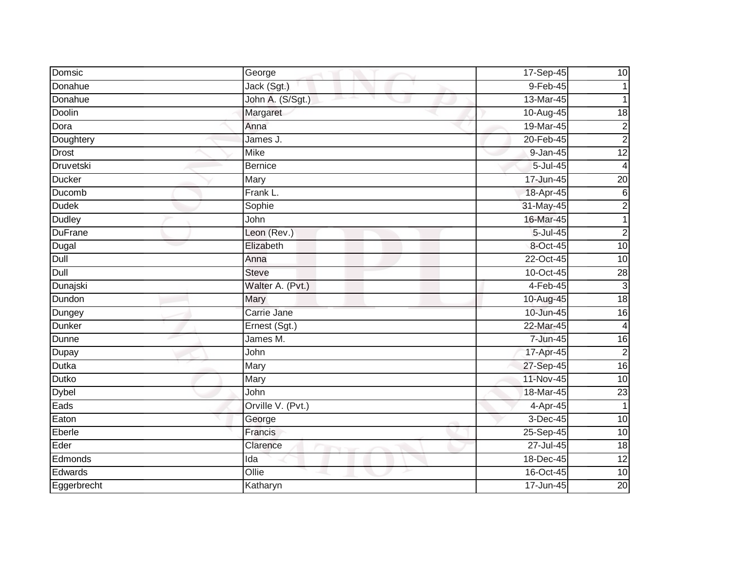| Domsic         | George            | 17-Sep-45     | 10              |
|----------------|-------------------|---------------|-----------------|
| Donahue        | Jack (Sgt.)       | 9-Feb-45      |                 |
| Donahue        | John A. (S/Sgt.)  | 13-Mar-45     |                 |
| Doolin         | Margaret          | 10-Aug-45     | 18              |
| Dora           | Anna              | 19-Mar-45     | $\mathbf 2$     |
| Doughtery      | James J.          | 20-Feb-45     | $\overline{c}$  |
| <b>Drost</b>   | Mike              | 9-Jan-45      | $\overline{12}$ |
| Druvetski      | <b>Bernice</b>    | 5-Jul-45      | 4               |
| <b>Ducker</b>  | Mary              | 17-Jun-45     | $\overline{20}$ |
| Ducomb         | Frank L.          | 18-Apr-45     | $\sigma$        |
| <b>Dudek</b>   | Sophie            | 31-May-45     | $\overline{c}$  |
| Dudley         | John              | 16-Mar-45     | $\mathbf{1}$    |
| <b>DuFrane</b> | Leon (Rev.)       | $5 -$ Jul-45  | $\overline{2}$  |
| Dugal          | Elizabeth         | 8-Oct-45      | $\overline{10}$ |
| Dull           | Anna              | 22-Oct-45     | $\overline{10}$ |
| Dull           | <b>Steve</b>      | 10-Oct-45     | $\overline{28}$ |
| Dunajski       | Walter A. (Pvt.)  | $4-Feb-45$    | $\mathbf{3}$    |
| Dundon         | Mary              | 10-Aug-45     | 18              |
| Dungey         | Carrie Jane       | 10-Jun-45     | 16              |
| <b>Dunker</b>  | Ernest (Sgt.)     | 22-Mar-45     | 4               |
| <b>Dunne</b>   | James M.          | 7-Jun-45      | 16              |
| Dupay          | John              | 17-Apr-45     | $\overline{2}$  |
| Dutka          | Mary              | 27-Sep-45     | 16              |
| Dutko          | Mary              | 11-Nov-45     | $\overline{10}$ |
| <b>Dybel</b>   | John              | 18-Mar-45     | $\overline{23}$ |
| Eads           | Orville V. (Pvt.) | 4-Apr-45      |                 |
| Eaton          | George            | $3-Dec-45$    | 10              |
| Eberle         | Francis           | 25-Sep-45     | 10              |
| Eder           | Clarence          | $27 -$ Jul-45 | 18              |
| Edmonds        | Ida               | 18-Dec-45     | 12              |
| Edwards        | Ollie             | 16-Oct-45     | $\overline{10}$ |
| Eggerbrecht    | Katharyn          | 17-Jun-45     | 20              |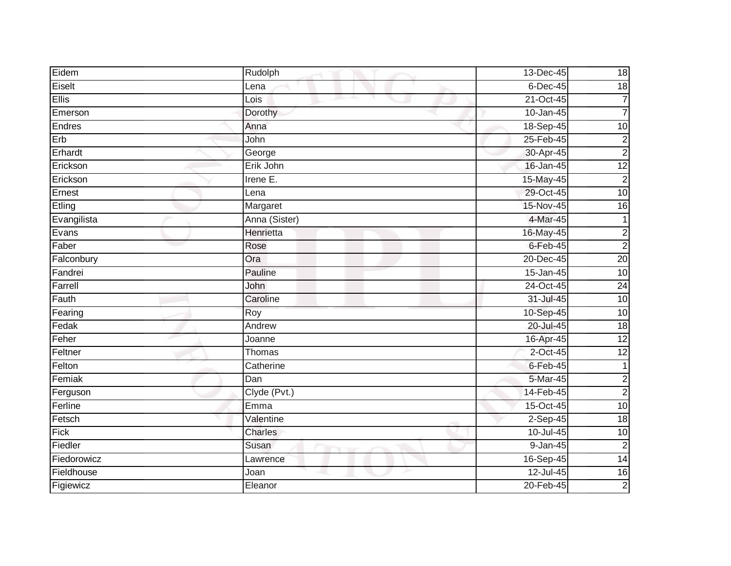| Eidem        | Rudolph       | 13-Dec-45   | 18              |
|--------------|---------------|-------------|-----------------|
| Eiselt       | Lena          | $6$ -Dec-45 | 18              |
| <b>Ellis</b> | Lois<br>ᅩ     | 21-Oct-45   | 7               |
| Emerson      | Dorothy       | 10-Jan-45   | $\overline{7}$  |
| Endres       | Anna          | 18-Sep-45   | $\overline{10}$ |
| Erb          | John          | 25-Feb-45   | $\overline{c}$  |
| Erhardt      | George        | 30-Apr-45   | $\overline{2}$  |
| Erickson     | Erik John     | 16-Jan-45   | $\overline{12}$ |
| Erickson     | Irene $E$ .   | 15-May-45   | $\overline{c}$  |
| Ernest       | Lena          | 29-Oct-45   | 10              |
| Etling       | Margaret      | 15-Nov-45   | $\overline{16}$ |
| Evangilista  | Anna (Sister) | 4-Mar-45    | 1               |
| Evans        | Henrietta     | 16-May-45   | $\overline{2}$  |
| Faber        | Rose          | $6$ -Feb-45 | $\overline{2}$  |
| Falconbury   | Ora           | 20-Dec-45   | 20              |
| Fandrei      | Pauline       | 15-Jan-45   | 10              |
| Farrell      | John          | 24-Oct-45   | 24              |
| Fauth        | Caroline      | 31-Jul-45   | 10              |
| Fearing      | Roy           | 10-Sep-45   | $\overline{10}$ |
| Fedak        | Andrew        | 20-Jul-45   | $\frac{1}{8}$   |
| Feher        | Joanne        | 16-Apr-45   | 12              |
| Feltner      | Thomas        | 2-Oct-45    | 12              |
| Felton       | Catherine     | $6$ -Feb-45 | 1               |
| Femiak       | Dan           | 5-Mar-45    | $\overline{c}$  |
| Ferguson     | Clyde (Pvt.)  | 14-Feb-45   | $\overline{2}$  |
| Ferline      | Emma          | 15-Oct-45   | 10              |
| Fetsch       | Valentine     | $2-Sep-45$  | $\frac{1}{8}$   |
| Fick         | Charles       | 10-Jul-45   | 10              |
| Fiedler      | Susan         | 9-Jan-45    | $\overline{2}$  |
| Fiedorowicz  | Lawrence      | 16-Sep-45   | 14              |
| Fieldhouse   | Joan          | 12-Jul-45   | $\overline{16}$ |
| Figiewicz    | Eleanor       | 20-Feb-45   | $\overline{2}$  |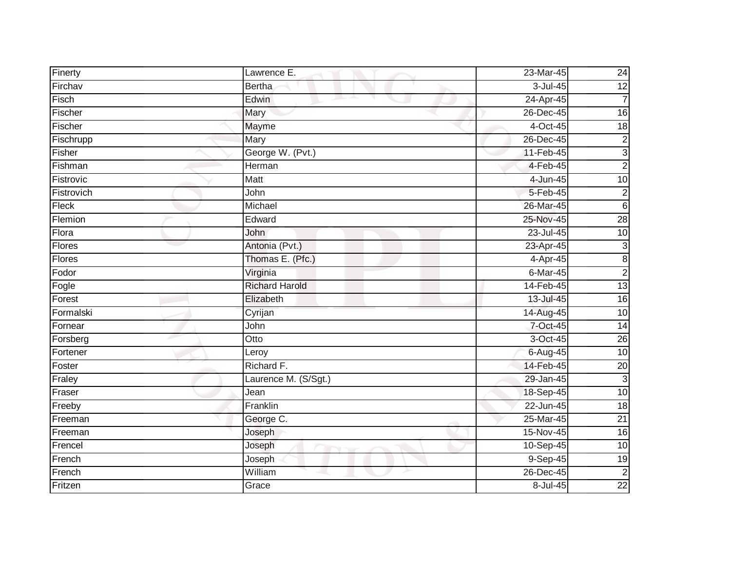| Finerty    | Lawrence E.           | 23-Mar-45    | 24              |
|------------|-----------------------|--------------|-----------------|
| Firchav    | <b>Bertha</b>         | 3-Jul-45     | $\overline{12}$ |
| Fisch      | Edwin                 | 24-Apr-45    | 7               |
| Fischer    | Mary                  | 26-Dec-45    | $\overline{16}$ |
| Fischer    | <b>Mayme</b>          | $4-Oct-45$   | $\frac{1}{8}$   |
| Fischrupp  | Mary                  | 26-Dec-45    | $\overline{c}$  |
| Fisher     | George W. (Pvt.)      | 11-Feb-45    | ω               |
| Fishman    | Herman                | 4-Feb-45     | $\overline{c}$  |
| Fistrovic  | <b>Matt</b>           | 4-Jun-45     | 10              |
| Fistrovich | John                  | 5-Feb-45     | $\overline{2}$  |
| Fleck      | Michael               | 26-Mar-45    | $\,6$           |
| Flemion    | Edward                | 25-Nov-45    | 28              |
| Flora      | John                  | 23-Jul-45    | 10              |
| Flores     | Antonia (Pvt.)        | 23-Apr-45    | $\mathfrak{B}$  |
| Flores     | Thomas E. (Pfc.)      | 4-Apr-45     | $\infty$        |
| Fodor      | Virginia              | 6-Mar-45     | $\overline{2}$  |
| Fogle      | <b>Richard Harold</b> | 14-Feb-45    | 13              |
| Forest     | Elizabeth             | 13-Jul-45    | 16              |
| Formalski  | Cyrijan               | 14-Aug-45    | $\overline{10}$ |
| Fornear    | John                  | 7-Oct-45     | $\overline{14}$ |
| Forsberg   | Otto                  | 3-Oct-45     | $\overline{26}$ |
| Fortener   | Leroy                 | 6-Aug-45     | 10              |
| Foster     | Richard F.            | 14-Feb-45    | $\overline{20}$ |
| Fraley     | Laurence M. (S/Sgt.)  | 29-Jan-45    | $\mathbf{3}$    |
| Fraser     | Jean                  | 18-Sep-45    | 10              |
| Freeby     | Franklin              | 22-Jun-45    | 18              |
| Freeman    | George C.             | 25-Mar-45    | $\overline{21}$ |
| Freeman    | Joseph                | 15-Nov-45    | $\overline{16}$ |
| Frencel    | Joseph                | $10-$ Sep-45 | $\overline{10}$ |
| French     | Joseph                | 9-Sep-45     | 19              |
| French     | William               | 26-Dec-45    | $\overline{2}$  |
| Fritzen    | Grace                 | 8-Jul-45     | $\overline{22}$ |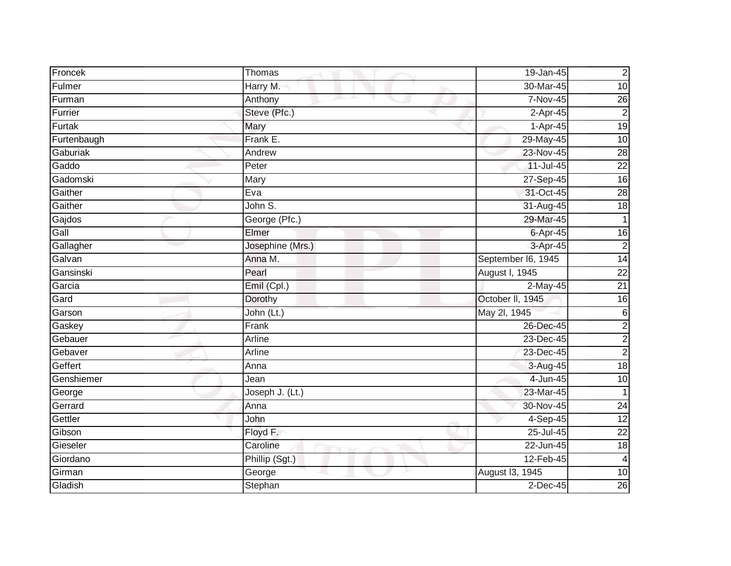| Froncek     | Thomas           | 19-Jan-45          | $\overline{2}$  |
|-------------|------------------|--------------------|-----------------|
| Fulmer      | Harry M.         | 30-Mar-45          | 10              |
| Furman      | Anthony          | 7-Nov-45           | $\overline{26}$ |
| Furrier     | Steve (Pfc.)     | $2$ -Apr-45        | $\overline{2}$  |
| Furtak      | Mary             | $1-Apr-45$         | 19              |
| Furtenbaugh | Frank E.         | 29-May-45          | 10              |
| Gaburiak    | Andrew           | 23-Nov-45          | 28              |
| Gaddo       | Peter            | 11-Jul-45          | $\overline{22}$ |
| Gadomski    | Mary             | 27-Sep-45          | 16              |
| Gaither     | Eva              | 31-Oct-45          | 28              |
| Gaither     | John S.          | 31-Aug-45          | $\overline{18}$ |
| Gajdos      | George (Pfc.)    | 29-Mar-45          |                 |
| Gall        | Elmer            | $6 - Apr-45$       | 16              |
| Gallagher   | Josephine (Mrs.) | 3-Apr-45           | $\overline{c}$  |
| Galvan      | Anna M.          | September I6, 1945 | 14              |
| Gansinski   | Pearl            | August I, 1945     | $\overline{22}$ |
| Garcia      | $Emil$ (Cpl.)    | 2-May-45           | $\overline{21}$ |
| Gard        | Dorothy          | October II, 1945   | 16              |
| Garson      | John (Lt.)       | May 2l, 1945       | $6\phantom{.}6$ |
| Gaskey      | Frank            | 26-Dec-45          | $\mathbf{2}$    |
| Gebauer     | Arline           | 23-Dec-45          | $\mathbf{2}$    |
| Gebaver     | Arline           | 23-Dec-45          | $\overline{2}$  |
| Geffert     | Anna             | 3-Aug-45           | $\frac{1}{8}$   |
| Genshiemer  | Jean             | 4-Jun-45           | 10              |
| George      | Joseph J. (Lt.)  | 23-Mar-45          | $\mathbf 1$     |
| Gerrard     | Anna             | 30-Nov-45          | $\overline{24}$ |
| Gettler     | John             | $4-Sep-45$         | 12              |
| Gibson      | Floyd F.         | 25-Jul-45          | $\overline{22}$ |
| Gieseler    | Caroline         | 22-Jun-45          | 18              |
| Giordano    | Phillip (Sgt.)   | 12-Feb-45          | 4               |
| Girman      | George           | August 13, 1945    | 10              |
| Gladish     | Stephan          | $2$ -Dec-45        | 26              |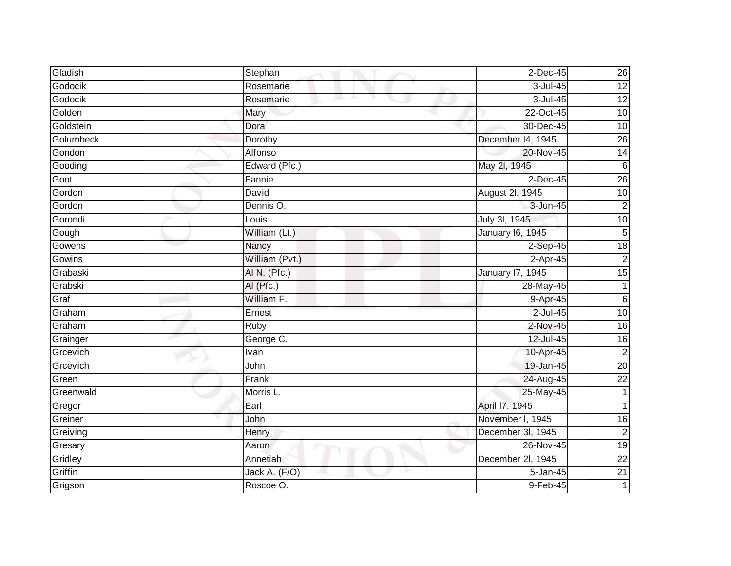| Gladish   | Stephan        | $2$ -Dec-45       | 26              |
|-----------|----------------|-------------------|-----------------|
| Godocik   | Rosemarie      | 3-Jul-45          | $\overline{12}$ |
| Godocik   | Rosemarie      | $3$ -Jul-45       | 12              |
| Golden    | Mary           | 22-Oct-45         | 10              |
| Goldstein | Dora           | 30-Dec-45         | 10              |
| Golumbeck | Dorothy        | December I4, 1945 | $\overline{26}$ |
| Gondon    | Alfonso        | 20-Nov-45         | 14              |
| Gooding   | Edward (Pfc.)  | May 2l, 1945      | $6\phantom{1}6$ |
| Goot      | Fannie         | $2$ -Dec-45       | 26              |
| Gordon    | David          | August 2l, 1945   | 10              |
| Gordon    | Dennis O.      | 3-Jun-45          | $\overline{2}$  |
| Gorondi   | Louis          | July 3l, 1945     | $\overline{10}$ |
| Gough     | William (Lt.)  | January 16, 1945  | $\overline{5}$  |
| Gowens    | Nancy          | $2$ -Sep-45       | 18              |
| Gowins    | William (Pvt.) | 2-Apr-45          | $\overline{2}$  |
| Grabaski  | AI N. (Pfc.)   | January 17, 1945  | $\overline{15}$ |
| Grabski   | AI (Pfc.)      | 28-May-45         | 1               |
| Graf      | William F.     | 9-Apr-45          | $6\phantom{1}$  |
| Graham    | Ernest         | 2-Jul-45          | 10              |
| Graham    | Ruby           | 2-Nov-45          | $\overline{16}$ |
| Grainger  | George C.      | 12-Jul-45         | 16              |
| Grcevich  | Ivan           | 10-Apr-45         | $\overline{2}$  |
| Grcevich  | John           | 19-Jan-45         | $\overline{20}$ |
| Green     | Frank          | 24-Aug-45         | $\overline{22}$ |
| Greenwald | Morris L.      | 25-May-45         | $\mathbf{1}$    |
| Gregor    | Earl           | April 17, 1945    |                 |
| Greiner   | John           | November I, 1945  | 16              |
| Greiving  | Henry          | December 3I, 1945 | $\overline{2}$  |
| Gresary   | Aaron          | 26-Nov-45         | 19              |
| Gridley   | Annetiah       | December 2l, 1945 | $\overline{22}$ |
| Griffin   | Jack A. (F/O)  | 5-Jan-45          | $\overline{21}$ |
| Grigson   | Roscoe O.      | 9-Feb-45          | 1               |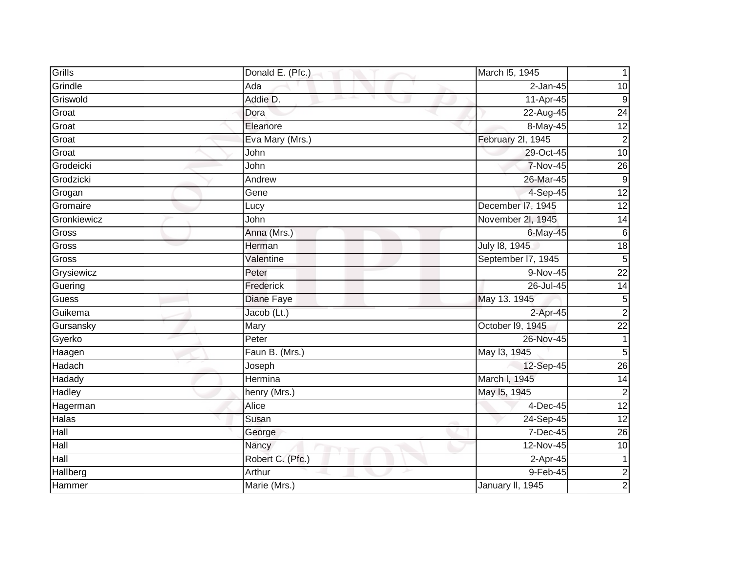| Grills       | Donald E. (Pfc.) | March I5, 1945     |                 |
|--------------|------------------|--------------------|-----------------|
| Grindle      | Ada              | $2$ -Jan-45        | 10              |
| Griswold     | Addie D.         | 11-Apr-45          | 9               |
| Groat        | Dora             | 22-Aug-45          | $\overline{24}$ |
| Groat        | Eleanore         | 8-May-45           | 12              |
| Groat        | Eva Mary (Mrs.)  | February 2l, 1945  | $\mathbf 2$     |
| Groat        | John             | 29-Oct-45          | 10              |
| Grodeicki    | John             | 7-Nov-45           | $\overline{26}$ |
| Grodzicki    | Andrew           | 26-Mar-45          | 9               |
| Grogan       | Gene             | 4-Sep-45           | $\overline{12}$ |
| Gromaire     | Lucy             | December I7, 1945  | 12              |
| Gronkiewicz  | John             | November 2I, 1945  | 14              |
| Gross        | Anna (Mrs.)      | 6-May-45           | $\overline{6}$  |
| Gross        | Herman           | July 18, 1945      | $\frac{1}{8}$   |
| Gross        | Valentine        | September I7, 1945 | 5               |
| Grysiewicz   | Peter            | 9-Nov-45           | $\overline{22}$ |
| Guering      | Frederick        | 26-Jul-45          | $\overline{14}$ |
| Guess        | Diane Faye       | May 13. 1945       | 5               |
| Guikema      | Jacob (Lt.)      | 2-Apr-45           | $\overline{2}$  |
| Gursansky    | Mary             | October 19, 1945   | $\overline{22}$ |
| Gyerko       | Peter            | 26-Nov-45          | 1               |
| Haagen       | Faun B. (Mrs.)   | May 13, 1945       | 5               |
| Hadach       | Joseph           | 12-Sep-45          | $\overline{26}$ |
| Hadady       | Hermina          | March I, 1945      | 14              |
| Hadley       | henry (Mrs.)     | May 15, 1945       | $\overline{2}$  |
| Hagerman     | Alice            | 4-Dec-45           | 12              |
| <b>Halas</b> | Susan            | 24-Sep-45          | 12              |
| Hall         | George           | 7-Dec-45           | $\overline{26}$ |
| Hall         | Nancy            | 12-Nov-45          | $\overline{10}$ |
| Hall         | Robert C. (Pfc.) | 2-Apr-45           | 1               |
| Hallberg     | Arthur           | 9-Feb-45           | $\overline{2}$  |
| Hammer       | Marie (Mrs.)     | January II, 1945   | $\mathbf 2$     |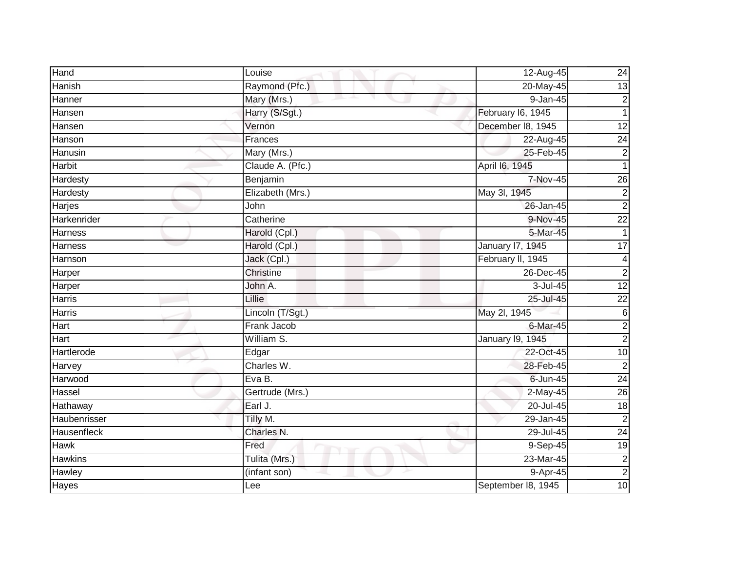| Hand            | Louise            | 12-Aug-45               | 24              |
|-----------------|-------------------|-------------------------|-----------------|
| Hanish          | Raymond (Pfc.)    | 20-May-45               | 13              |
| Hanner          | Mary (Mrs.)<br>m. | $9 - Jan-45$            | $\overline{c}$  |
| Hansen          | Harry (S/Sgt.)    | February I6, 1945       | 1               |
| Hansen          | Vernon            | December 18, 1945       | 12              |
| Hanson          | Frances           | 22-Aug-45               | 24              |
| Hanusin         | Mary (Mrs.)       | 25-Feb-45               | $\overline{2}$  |
| <b>Harbit</b>   | Claude A. (Pfc.)  | April 16, 1945          |                 |
| Hardesty        | Benjamin          | 7-Nov-45                | $\overline{26}$ |
| <b>Hardesty</b> | Elizabeth (Mrs.)  | May 3l, 1945            | $\overline{2}$  |
| Harjes          | John              | 26-Jan-45               | $\overline{c}$  |
| Harkenrider     | Catherine         | 9-Nov-45                | $\overline{22}$ |
| <b>Harness</b>  | Harold (Cpl.)     | 5-Mar-45                |                 |
| Harness         | Harold (Cpl.)     | <b>January 17, 1945</b> | $\overline{17}$ |
| Harnson         | Jack (Cpl.)       | February II, 1945       | 4               |
| Harper          | Christine         | 26-Dec-45               | $\overline{2}$  |
| Harper          | John A.           | 3-Jul-45                | $\overline{12}$ |
| Harris          | Lillie            | 25-Jul-45               | 22              |
| Harris          | Lincoln (T/Sgt.)  | May 2l, 1945            | $6\phantom{1}6$ |
| Hart            | Frank Jacob       | 6-Mar-45                | $\overline{c}$  |
| Hart            | William S.        | January 19, 1945        | $\overline{c}$  |
| Hartlerode      | Edgar             | 22-Oct-45               | 10              |
| Harvey          | Charles W.        | 28-Feb-45               | $\overline{2}$  |
| Harwood         | Eva B.            | 6-Jun-45                | 24              |
| Hassel          | Gertrude (Mrs.)   | $2-May-45$              | 26              |
| Hathaway        | Earl J.           | 20-Jul-45               | $\frac{1}{8}$   |
| Haubenrisser    | Tilly M.          | $29 - Jan-45$           | $\overline{2}$  |
| Hausenfleck     | Charles N.        | 29-Jul-45               | $\overline{24}$ |
| <b>Hawk</b>     | Fred              | $9-$ Sep-45             | $\overline{19}$ |
| <b>Hawkins</b>  | Tulita (Mrs.)     | 23-Mar-45               | $\overline{c}$  |
| Hawley          | (infant son)      | 9-Apr-45                | $\overline{2}$  |
| <b>Hayes</b>    | Lee               | September 18, 1945      | 10              |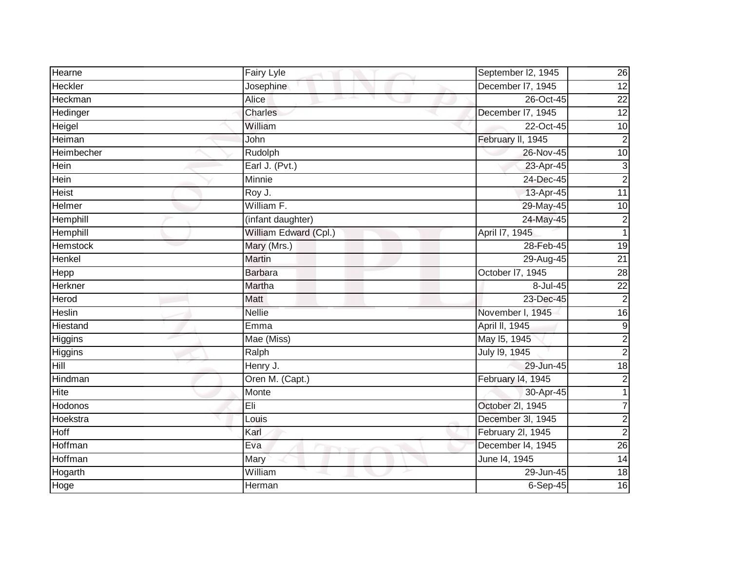| Hearne          | Fairy Lyle                  | September I2, 1945 | 26               |
|-----------------|-----------------------------|--------------------|------------------|
| Heckler         | Josephine                   | December I7, 1945  | $\overline{12}$  |
| Heckman         | Alice<br>and the projection | 26-Oct-45          | $\overline{22}$  |
| Hedinger        | Charles                     | December I7, 1945  | 12               |
| Heigel          | William                     | 22-Oct-45          | 10               |
| Heiman          | John                        | February II, 1945  | $\overline{2}$   |
| Heimbecher      | Rudolph                     | 26-Nov-45          | 10               |
| Hein            | Earl J. (Pvt.)              | 23-Apr-45          | $\mathsf 3$      |
| Hein            | Minnie                      | 24-Dec-45          | $\overline{c}$   |
| <b>Heist</b>    | $\overline{R}$ oy J.        | 13-Apr-45          | 11               |
| Helmer          | William F.                  | 29-May-45          | $\overline{10}$  |
| Hemphill        | (infant daughter)           | 24-May-45          | $\overline{c}$   |
| Hemphill        | William Edward (Cpl.)       | April 17, 1945     | $\overline{1}$   |
| <b>Hemstock</b> | Mary (Mrs.)                 | 28-Feb-45          | $\overline{19}$  |
| Henkel          | <b>Martin</b>               | 29-Aug-45          | $\overline{21}$  |
| Hepp            | <b>Barbara</b>              | October I7, 1945   | $\overline{28}$  |
| Herkner         | <b>Martha</b>               | 8-Jul-45           | $\overline{22}$  |
| Herod           | Matt                        | 23-Dec-45          | $\overline{2}$   |
| Heslin          | <b>Nellie</b>               | November I, 1945   | $\overline{16}$  |
| Hiestand        | Emma                        | April II, 1945     | $\boldsymbol{9}$ |
| Higgins         | Mae (Miss)                  | May 15, 1945       | $\overline{c}$   |
| Higgins         | Ralph                       | July 19, 1945      | $\overline{2}$   |
| Hill            | Henry J.                    | 29-Jun-45          | $\overline{18}$  |
| Hindman         | Oren M. (Capt.)             | February 14, 1945  | $\overline{c}$   |
| Hite            | Monte                       | 30-Apr-45          |                  |
| Hodonos         | Eli                         | October 2l, 1945   | 7                |
| Hoekstra        | Louis                       | December 3l, 1945  | $\overline{c}$   |
| Hoff            | Karl                        | February 2l, 1945  | $\overline{2}$   |
| Hoffman         | Eva                         | December 14, 1945  | 26               |
| Hoffman         | Mary                        | June 14, 1945      | 14               |
| Hogarth         | William                     | 29-Jun-45          | $\frac{1}{8}$    |
| Hoge            | Herman                      | $6-Sep-45$         | 16               |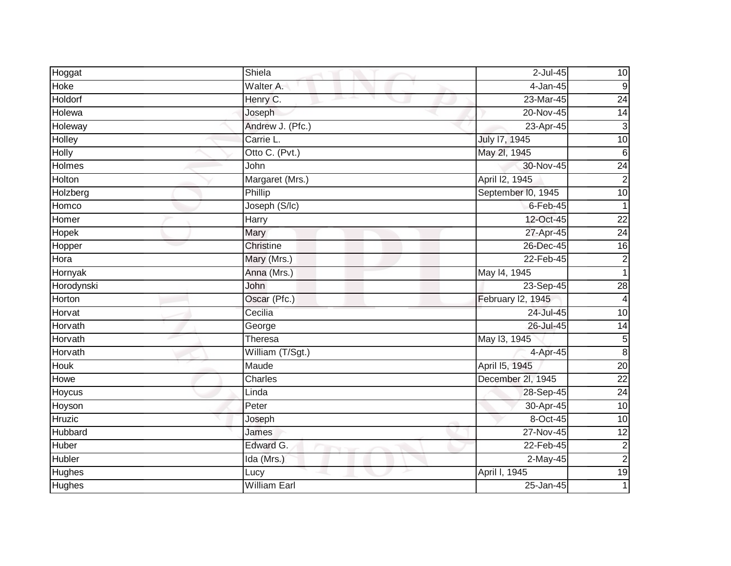| Hoggat        | Shiela              | $2$ -Jul-45        | 10              |
|---------------|---------------------|--------------------|-----------------|
| Hoke          | Walter A.           | 4-Jan-45           | 9               |
| Holdorf       | Henry C.            | 23-Mar-45          | 24              |
| Holewa        | Joseph              | 20-Nov-45          | 14              |
| Holeway       | Andrew J. (Pfc.)    | 23-Apr-45          | $\mathsf 3$     |
| Holley        | Carrie L.           | July 17, 1945      | 10              |
| <b>Holly</b>  | Otto C. (Pvt.)      | May 2l, 1945       | $\sigma$        |
| Holmes        | John                | 30-Nov-45          | $\overline{24}$ |
| Holton        | Margaret (Mrs.)     | April I2, 1945     | $\overline{2}$  |
| Holzberg      | Phillip             | September I0, 1945 | 10              |
| Homco         | Joseph (S/Ic)       | $6-Feb-45$         | $\mathbf 1$     |
| Homer         | Harry               | 12-Oct-45          | $\overline{22}$ |
| Hopek         | Mary                | 27-Apr-45          | $\overline{24}$ |
| Hopper        | Christine           | 26-Dec-45          | $\overline{16}$ |
| Hora          | Mary (Mrs.)         | 22-Feb-45          | $\overline{c}$  |
| Hornyak       | Anna (Mrs.)         | May 14, 1945       |                 |
| Horodynski    | John                | 23-Sep-45          | $\overline{28}$ |
| <b>Horton</b> | Oscar (Pfc.)        | February I2, 1945  | 4               |
| Horvat        | Cecilia             | 24-Jul-45          | 10              |
| Horvath       | George              | 26-Jul-45          | $\overline{14}$ |
| Horvath       | Theresa             | May 13, 1945       | $\sqrt{5}$      |
| Horvath       | William (T/Sgt.)    | 4-Apr-45           | $\overline{8}$  |
| Houk          | Maude               | April 15, 1945     | $\overline{20}$ |
| Howe          | Charles             | December 2l, 1945  | $\overline{22}$ |
| Hoycus        | Linda               | 28-Sep-45          | $\overline{24}$ |
| Hoyson        | Peter               | 30-Apr-45          | $\overline{10}$ |
| <b>Hruzic</b> | Joseph              | 8-Oct-45           | 10              |
| Hubbard       | James               | $27-Nov-45$        | $\overline{12}$ |
| Huber         | Edward G.           | 22-Feb-45          | $\overline{c}$  |
| Hubler        | Ida (Mrs.)          | 2-May-45           | $\overline{c}$  |
| Hughes        | Lucy                | April I, 1945      | 19              |
| <b>Hughes</b> | <b>William Earl</b> | 25-Jan-45          |                 |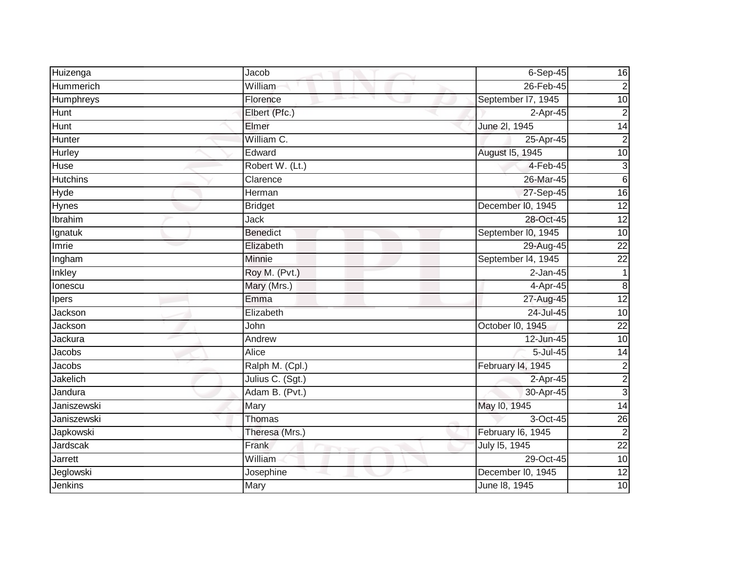| Huizenga        | Jacob            | $6-Sep-45$         | 16              |
|-----------------|------------------|--------------------|-----------------|
| Hummerich       | William          | 26-Feb-45          | $\overline{c}$  |
| Humphreys       | Florence         | September 17, 1945 | $\overline{10}$ |
| Hunt            | Elbert (Pfc.)    | 2-Apr-45           | $\overline{2}$  |
| <b>Hunt</b>     | Elmer            | June 2l, 1945      | 14              |
| Hunter          | William C.       | 25-Apr-45          | $\overline{2}$  |
| Hurley          | Edward           | August 15, 1945    | 10              |
| Huse            | Robert W. (Lt.)  | 4-Feb-45           | $\mathsf 3$     |
| <b>Hutchins</b> | Clarence         | 26-Mar-45          | $\sigma$        |
| <b>Hyde</b>     | Herman           | 27-Sep-45          | 16              |
| Hynes           | <b>Bridget</b>   | December I0, 1945  | 12              |
| Ibrahim         | Jack             | 28-Oct-45          | $\overline{12}$ |
| Ignatuk         | <b>Benedict</b>  | September I0, 1945 | 10              |
| Imrie           | Elizabeth        | 29-Aug-45          | $\overline{22}$ |
| Ingham          | Minnie           | September I4, 1945 | $\overline{22}$ |
| Inkley          | Roy M. (Pvt.)    | $2-Jan-45$         | $\mathbf 1$     |
| lonescu         | Mary (Mrs.)      | 4-Apr-45           | $\infty$        |
| Ipers           | Emma             | 27-Aug-45          | 12              |
| Jackson         | Elizabeth        | 24-Jul-45          | $\overline{10}$ |
| Jackson         | John             | October I0, 1945   | $\overline{22}$ |
| Jackura         | Andrew           | 12-Jun-45          | 10              |
| Jacobs          | Alice            | 5-Jul-45           | 14              |
| Jacobs          | Ralph M. (Cpl.)  | February 14, 1945  | $\overline{c}$  |
| Jakelich        | Julius C. (Sgt.) | 2-Apr-45           | $\overline{2}$  |
| Jandura         | Adam B. (Pvt.)   | 30-Apr-45          | 3               |
| Janiszewski     | Mary             | May 10, 1945       | 14              |
| Janiszewski     | Thomas           | 3-Oct-45           | 26              |
| Japkowski       | Theresa (Mrs.)   | February I6, 1945  | $\overline{2}$  |
| Jardscak        | Frank            | July 15, 1945      | $\overline{22}$ |
| Jarrett         | William          | 29-Oct-45          | $\overline{10}$ |
| Jeglowski       | Josephine        | December I0, 1945  | 12              |
| Jenkins         | Mary             | June 18, 1945      | 10              |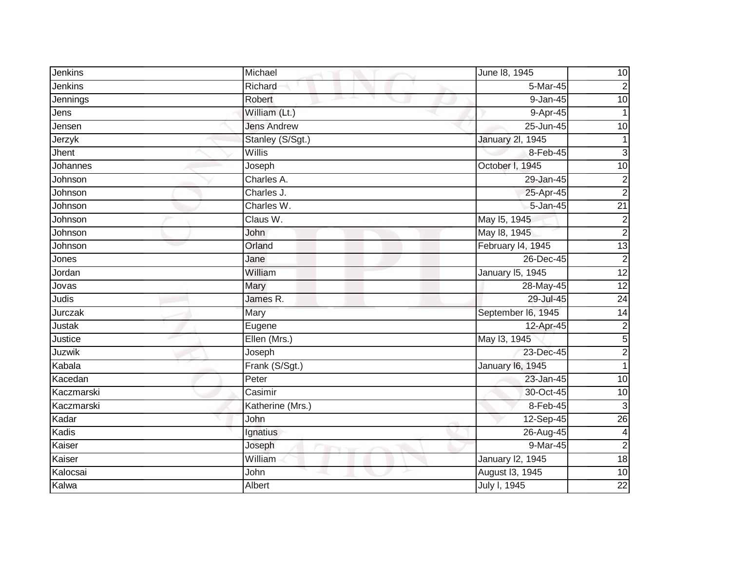| Jenkins    | Michael            | June 18, 1945           | 10              |
|------------|--------------------|-------------------------|-----------------|
| Jenkins    | Richard            | 5-Mar-45                | $\overline{2}$  |
| Jennings   | Robert<br>m.       | $9 - Jan-45$            | $\overline{10}$ |
| Jens       | William (Lt.)      | 9-Apr-45                |                 |
| Jensen     | <b>Jens Andrew</b> | 25-Jun-45               | 10              |
| Jerzyk     | Stanley (S/Sgt.)   | <b>January 2l, 1945</b> | 1               |
| Jhent      | Willis             | 8-Feb-45                | $\mathbf{3}$    |
| Johannes   | Joseph             | October I, 1945         | $\overline{10}$ |
| Johnson    | Charles A.         | 29-Jan-45               | $\overline{c}$  |
| Johnson    | Charles J.         | 25-Apr-45               | $\overline{2}$  |
| Johnson    | Charles W.         | 5-Jan-45                | $\overline{21}$ |
| Johnson    | Claus W.           | May 15, 1945            | $\overline{c}$  |
| Johnson    | John               | May 18, 1945            | $\overline{2}$  |
| Johnson    | Orland             | February 14, 1945       | $\overline{13}$ |
| Jones      | Jane               | 26-Dec-45               | $\overline{c}$  |
| Jordan     | William            | January 15, 1945        | 12              |
| Jovas      | Mary               | 28-May-45               | 12              |
| Judis      | James R.           | 29-Jul-45               | 24              |
| Jurczak    | Mary               | September I6, 1945      | $\overline{14}$ |
| Justak     | Eugene             | 12-Apr-45               | $\overline{c}$  |
| Justice    | Ellen (Mrs.)       | May 13, 1945            | 5               |
| Juzwik     | Joseph             | 23-Dec-45               | $\overline{2}$  |
| Kabala     | Frank (S/Sgt.)     | <b>January 16, 1945</b> |                 |
| Kacedan    | Peter              | 23-Jan-45               | 10              |
| Kaczmarski | Casimir            | 30-Oct-45               | 10              |
| Kaczmarski | Katherine (Mrs.)   | 8-Feb-45                | $\mathbf{3}$    |
| Kadar      | John               | 12-Sep-45               | 26              |
| Kadis      | Ignatius           | 26-Aug-45               | $\overline{4}$  |
| Kaiser     | Joseph             | 9-Mar-45                | $\overline{2}$  |
| Kaiser     | William            | <b>January 12, 1945</b> | 18              |
| Kalocsai   | John               | August 13, 1945         | 10              |
| Kalwa      | Albert             | July I, 1945            | $\overline{22}$ |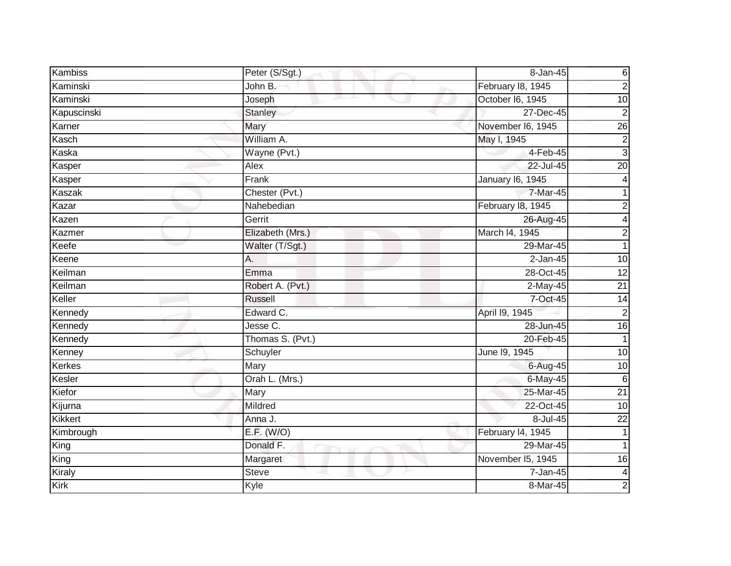| Kambiss        | Peter (S/Sgt.)   | 8-Jan-45          | 6               |
|----------------|------------------|-------------------|-----------------|
| Kaminski       | John B.          | February 18, 1945 | $\mathbf 2$     |
| Kaminski       | Joseph           | October I6, 1945  | $\overline{10}$ |
| Kapuscinski    | <b>Stanley</b>   | 27-Dec-45         | $\overline{2}$  |
| Karner         | Mary             | November I6, 1945 | $\overline{26}$ |
| Kasch          | William A.       | May I, 1945       | $\mathbf 2$     |
| Kaska          | Wayne (Pvt.)     | 4-Feb-45          | $\overline{3}$  |
| Kasper         | Alex             | 22-Jul-45         | $\overline{20}$ |
| Kasper         | Frank            | January 16, 1945  |                 |
| Kaszak         | Chester (Pvt.)   | 7-Mar-45          | 1               |
| Kazar          | Nahebedian       | February 18, 1945 | 2               |
| Kazen          | Gerrit           | 26-Aug-45         | 4               |
| Kazmer         | Elizabeth (Mrs.) | March I4, 1945    | $\mathbf 2$     |
| Keefe          | Walter (T/Sgt.)  | 29-Mar-45         | 1               |
| Keene          | A.               | $2-Jan-45$        | $\overline{10}$ |
| Keilman        | Emma             | 28-Oct-45         | $\overline{12}$ |
| Keilman        | Robert A. (Pvt.) | 2-May-45          | 21              |
| Keller         | <b>Russell</b>   | 7-Oct-45          | 14              |
| Kennedy        | Edward C.        | April 19, 1945    | $\overline{2}$  |
| Kennedy        | Jesse C.         | 28-Jun-45         | 16              |
| Kennedy        | Thomas S. (Pvt.) | 20-Feb-45         | 1               |
| Kenney         | Schuyler         | June 19, 1945     | $\overline{10}$ |
| <b>Kerkes</b>  | Mary             | 6-Aug-45          | 10              |
| Kesler         | Orah L. (Mrs.)   | 6-May-45          | $6\phantom{1}6$ |
| Kiefor         | Mary             | 25-Mar-45         | $\overline{21}$ |
| Kijurna        | Mildred          | 22-Oct-45         | $\overline{10}$ |
| <b>Kikkert</b> | Anna J.          | 8-Jul-45          | $\overline{22}$ |
| Kimbrough      | E.F. (W/O)       | February 14, 1945 |                 |
| King           | Donald F.        | 29-Mar-45         |                 |
| King           | Margaret         | November I5, 1945 | 16              |
| Kiraly         | <b>Steve</b>     | 7-Jan-45          | 4               |
| Kirk           | Kyle             | 8-Mar-45          | 2               |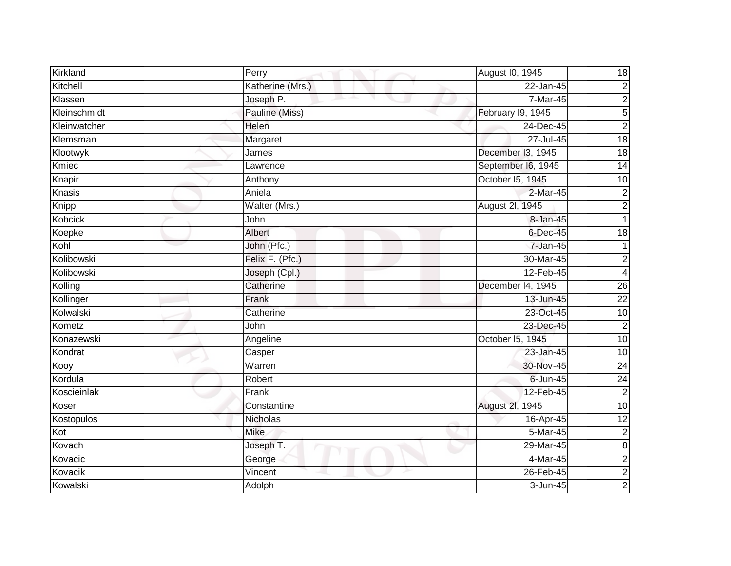| Kirkland     | Perry            | August I0, 1945    | 18              |
|--------------|------------------|--------------------|-----------------|
| Kitchell     | Katherine (Mrs.) | 22-Jan-45          | $\overline{c}$  |
| Klassen      | Joseph P.        | 7-Mar-45           | $\overline{c}$  |
| Kleinschmidt | Pauline (Miss)   | February I9, 1945  | 5               |
| Kleinwatcher | Helen            | 24-Dec-45          | $\overline{c}$  |
| Klemsman     | Margaret         | 27-Jul-45          | 18              |
| Klootwyk     | James            | December I3, 1945  | $\frac{1}{8}$   |
| Kmiec        | Lawrence         | September I6, 1945 | $\overline{14}$ |
| Knapir       | Anthony          | October I5, 1945   | 10              |
| Knasis       | Aniela           | 2-Mar-45           | $\overline{c}$  |
| Knipp        | Walter (Mrs.)    | August 2l, 1945    | $\overline{c}$  |
| Kobcick      | John             | 8-Jan-45           | 1               |
| Koepke       | Albert           | 6-Dec-45           | 18              |
| Kohl         | John (Pfc.)      | 7-Jan-45           |                 |
| Kolibowski   | Felix F. (Pfc.)  | 30-Mar-45          | $\overline{c}$  |
| Kolibowski   | Joseph (Cpl.)    | 12-Feb-45          | $\overline{4}$  |
| Kolling      | Catherine        | December I4, 1945  | 26              |
| Kollinger    | Frank            | 13-Jun-45          | $\overline{22}$ |
| Kolwalski    | Catherine        | 23-Oct-45          | $\overline{10}$ |
| Kometz       | John             | 23-Dec-45          | $\overline{2}$  |
| Konazewski   | Angeline         | October 15, 1945   | $\overline{10}$ |
| Kondrat      | Casper           | 23-Jan-45          | 10              |
| Kooy         | Warren           | 30-Nov-45          | 24              |
| Kordula      | Robert           | $6 - Jun-45$       | 24              |
| Koscieinlak  | Frank            | 12-Feb-45          | $\overline{c}$  |
| Koseri       | Constantine      | August 2l, 1945    | 10              |
| Kostopulos   | Nicholas         | 16-Apr-45          | 12              |
| Kot          | <b>Mike</b>      | 5-Mar-45           | $\overline{c}$  |
| Kovach       | Joseph T.        | 29-Mar-45          | $\bf{8}$        |
| Kovacic      | George           | $4-Mar-45$         | $\overline{c}$  |
| Kovacik      | Vincent          | 26-Feb-45          | $\overline{2}$  |
| Kowalski     | Adolph           | 3-Jun-45           | $\overline{a}$  |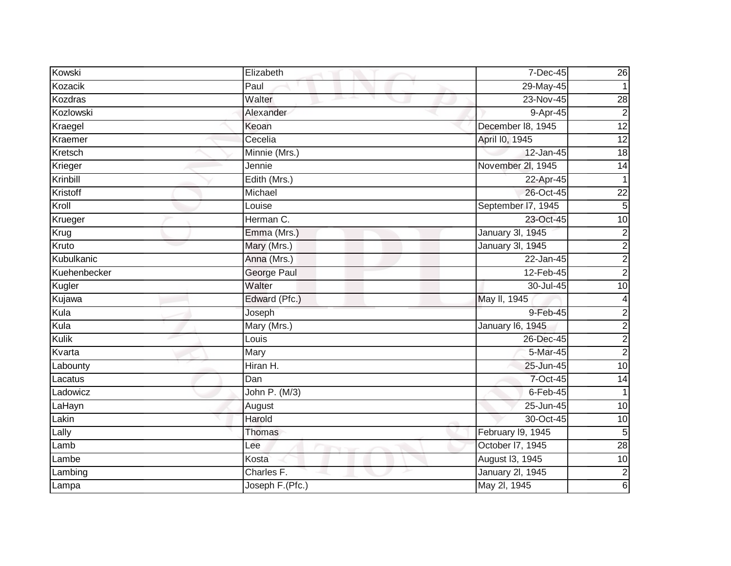| Kowski       | Elizabeth       | 7-Dec-45                | 26                      |
|--------------|-----------------|-------------------------|-------------------------|
| Kozacik      | Paul            | 29-May-45               |                         |
| Kozdras      | Walter          | 23-Nov-45               | 28                      |
| Kozlowski    | Alexander       | 9-Apr-45                | $\overline{2}$          |
| Kraegel      | Keoan           | December 18, 1945       | 12                      |
| Kraemer      | Cecelia         | April I0, 1945          | $\overline{12}$         |
| Kretsch      | Minnie (Mrs.)   | 12-Jan-45               | $\frac{1}{8}$           |
| Krieger      | Jennie          | November 2l, 1945       | $\overline{14}$         |
| Krinbill     | Edith (Mrs.)    | 22-Apr-45               | 1                       |
| Kristoff     | Michael         | 26-Oct-45               | $\overline{22}$         |
| Kroll        | Louise          | September I7, 1945      | $\overline{5}$          |
| Krueger      | Herman C.       | 23-Oct-45               | 10                      |
| Krug         | Emma (Mrs.)     | January 3I, 1945        | $\boldsymbol{2}$        |
| Kruto        | Mary (Mrs.)     | January 3I, 1945        | $\overline{c}$          |
| Kubulkanic   | Anna (Mrs.)     | $22$ -Jan-45            | $\overline{2}$          |
| Kuehenbecker | George Paul     | 12-Feb-45               | $\overline{2}$          |
| Kugler       | Walter          | 30-Jul-45               | 10                      |
| Kujawa       | Edward (Pfc.)   | May II, 1945            | 4                       |
| Kula         | Joseph          | 9-Feb-45                | $\overline{2}$          |
| Kula         | Mary (Mrs.)     | <b>January 16, 1945</b> | $\overline{2}$          |
| Kulik        | Louis           | 26-Dec-45               | $\overline{\mathbf{c}}$ |
| Kvarta       | Mary            | 5-Mar-45                | $\overline{2}$          |
| Labounty     | Hiran H.        | 25-Jun-45               | $\overline{10}$         |
| Lacatus      | Dan             | 7-Oct-45                | 14                      |
| Ladowicz     | John P. (M/3)   | $6$ -Feb-45             | 1                       |
| LaHayn       | August          | 25-Jun-45               | $\overline{10}$         |
| Lakin        | Harold          | 30-Oct-45               | $\overline{10}$         |
| Lally        | Thomas          | February I9, 1945       | 5                       |
| Lamb         | Lee             | October I7, 1945        | $\overline{28}$         |
| Lambe        | Kosta           | August 13, 1945         | 10                      |
| Lambing      | Charles F.      | <b>January 2l, 1945</b> | $\overline{\mathbf{c}}$ |
| Lampa        | Joseph F.(Pfc.) | May 2l, 1945            | 6                       |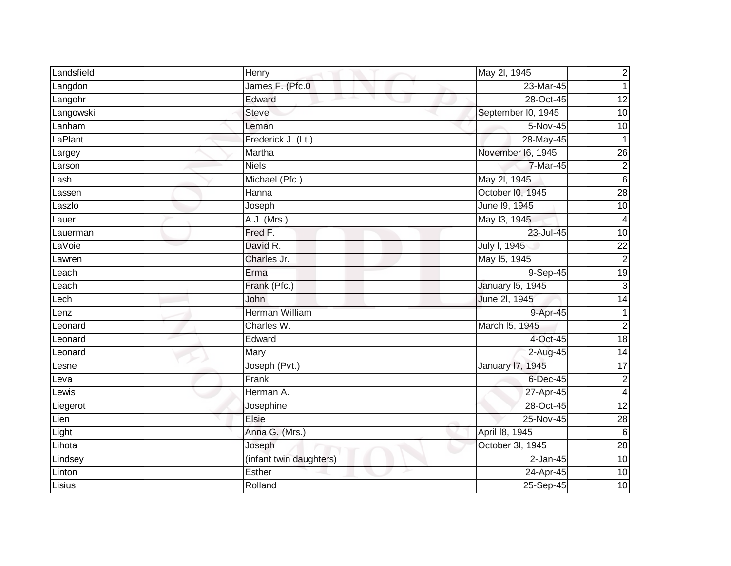| Landsfield | Henry                     | May 2l, 1945       | $\overline{c}$  |
|------------|---------------------------|--------------------|-----------------|
| Langdon    | James F. (Pfc.0           | 23-Mar-45          | $\mathbf{1}$    |
| Langohr    | Edward<br>and the project | 28-Oct-45          | $\overline{12}$ |
| Langowski  | <b>Steve</b>              | September I0, 1945 | $\overline{10}$ |
| Lanham     | Leman                     | 5-Nov-45           | 10              |
| LaPlant    | Frederick J. (Lt.)        | 28-May-45          | $\mathbf{1}$    |
| Largey     | Martha                    | November I6, 1945  | 26              |
| Larson     | <b>Niels</b>              | 7-Mar-45           | $\overline{2}$  |
| Lash       | Michael (Pfc.)            | May 2l, 1945       | $6\phantom{1}6$ |
| Lassen     | Hanna                     | October I0, 1945   | 28              |
| Laszlo     | Joseph                    | June 19, 1945      | $\overline{10}$ |
| Lauer      | A.J. (Mrs.)               | May 13, 1945       | 4               |
| Lauerman   | Fred F.                   | 23-Jul-45          | 10              |
| LaVoie     | David R.                  | July I, 1945       | $\overline{22}$ |
| Lawren     | Charles Jr.               | May 15, 1945       | $\overline{2}$  |
| Leach      | Erma                      | 9-Sep-45           | $\overline{19}$ |
| Leach      | Frank (Pfc.)              | January 15, 1945   | دن              |
| Lech       | <b>John</b>               | June 2l, 1945      | $\overline{14}$ |
| Lenz       | <b>Herman William</b>     | 9-Apr-45           | $\mathbf{1}$    |
| Leonard    | Charles W.                | March I5, 1945     | $\overline{2}$  |
| Leonard    | Edward                    | 4-Oct-45           | $\frac{1}{8}$   |
| Leonard    | Mary                      | 2-Aug-45           | $\overline{14}$ |
| Lesne      | Joseph (Pvt.)             | January 17, 1945   | 17              |
| Leva       | Frank                     | 6-Dec-45           | $\overline{c}$  |
| Lewis      | Herman A.                 | 27-Apr-45          | $\overline{4}$  |
| Liegerot   | Josephine                 | 28-Oct-45          | $\overline{12}$ |
| Lien       | Elsie                     | 25-Nov-45          | $\overline{28}$ |
| Light      | Anna G. (Mrs.)            | April 18, 1945     | $6\phantom{1}6$ |
| Lihota     | Joseph                    | October 3I, 1945   | 28              |
| Lindsey    | (infant twin daughters)   | $2$ -Jan-45        | 10              |
| Linton     | Esther                    | 24-Apr-45          | 10              |
| Lisius     | Rolland                   | 25-Sep-45          | 10              |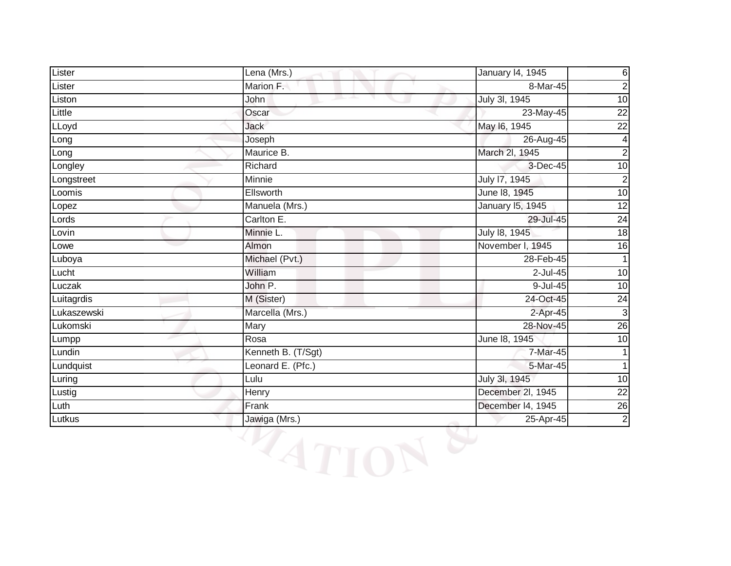| Lister      | Lena (Mrs.)        | January 14, 1945  | 6                       |
|-------------|--------------------|-------------------|-------------------------|
| Lister      | Marion F.          | 8-Mar-45          | $\overline{c}$          |
| Liston      | John               | July 3l, 1945     | 10                      |
| Little      | Oscar              | 23-May-45         | $\overline{22}$         |
| LLoyd       | <b>Jack</b>        | May 16, 1945      | $\overline{22}$         |
| Long        | Joseph             | 26-Aug-45         | $\overline{\mathbf{4}}$ |
| Long        | Maurice B.         | March 2I, 1945    | $\overline{2}$          |
| Longley     | Richard            | 3-Dec-45          | 10                      |
| Longstreet  | Minnie             | July 17, 1945     | $\overline{c}$          |
| Loomis      | Ellsworth          | June 18, 1945     | 10                      |
| Lopez       | Manuela (Mrs.)     | January 15, 1945  | $\overline{12}$         |
| Lords       | Carlton E.         | 29-Jul-45         | 24                      |
| Lovin       | Minnie L.          | July 18, 1945     | 18                      |
| Lowe        | Almon              | November I, 1945  | 16                      |
| Luboya      | Michael (Pvt.)     | 28-Feb-45         |                         |
| Lucht       | William            | $2$ -Jul-45       | 10                      |
| Luczak      | John P.            | 9-Jul-45          | 10                      |
| Luitagrdis  | M (Sister)         | 24-Oct-45         | $\overline{24}$         |
| Lukaszewski | Marcella (Mrs.)    | $2-Apr-45$        | $\mathbf{3}$            |
| Lukomski    | Mary               | 28-Nov-45         | 26                      |
| Lumpp       | Rosa               | June 18, 1945     | 10                      |
| Lundin      | Kenneth B. (T/Sgt) | 7-Mar-45          |                         |
| Lundquist   | Leonard E. (Pfc.)  | 5-Mar-45          |                         |
| Luring      | Lulu               | July 3l, 1945     | 10                      |
| Lustig      | Henry              | December 2l, 1945 | $\overline{22}$         |
| Luth        | Frank              | December I4, 1945 | $\overline{26}$         |
| Lutkus      | Jawiga (Mrs.)      | 25-Apr-45         | $\overline{2}$          |

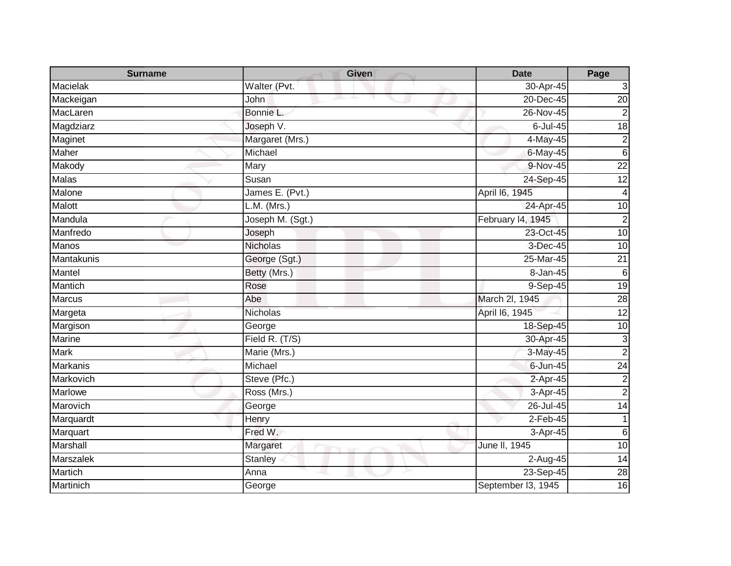| <b>Surname</b>    | <b>Given</b>     | <b>Date</b>        | Page            |
|-------------------|------------------|--------------------|-----------------|
| <b>Macielak</b>   | Walter (Pvt.     | 30-Apr-45          | 3               |
| Mackeigan         | John             | 20-Dec-45          | 20              |
| MacLaren          | Bonnie L.        | $26$ -Nov-45       | $\overline{2}$  |
| Magdziarz         | Joseph V.        | 6-Jul-45           | $\frac{1}{8}$   |
| Maginet           | Margaret (Mrs.)  | 4-May-45           | $\overline{c}$  |
| Maher             | Michael          | 6-May-45           | $\overline{6}$  |
| Makody            | Mary             | 9-Nov-45           | $\overline{22}$ |
| Malas             | Susan            | 24-Sep-45          | $\overline{12}$ |
| Malone            | James E. (Pvt.)  | April 16, 1945     | $\overline{4}$  |
| Malott            | $L.M.$ (Mrs.)    | 24-Apr-45          | $\overline{10}$ |
| Mandula           | Joseph M. (Sgt.) | February 14, 1945  | $\overline{2}$  |
| Manfredo          | Joseph           | 23-Oct-45          | 10              |
| Manos             | <b>Nicholas</b>  | 3-Dec-45           | 10              |
| <b>Mantakunis</b> | George (Sgt.)    | 25-Mar-45          | $\overline{21}$ |
| Mantel            | Betty (Mrs.)     | 8-Jan-45           | $6\phantom{1}6$ |
| Mantich           | Rose             | 9-Sep-45           | $\overline{19}$ |
| <b>Marcus</b>     | Abe              | March 2l, 1945     | 28              |
| Margeta           | <b>Nicholas</b>  | April 16, 1945     | $\overline{12}$ |
| Margison          | George           | 18-Sep-45          | 10              |
| Marine            | Field R. (T/S)   | 30-Apr-45          | 3               |
| <b>Mark</b>       | Marie (Mrs.)     | 3-May-45           | $\overline{2}$  |
| <b>Markanis</b>   | Michael          | $6 - Jun-45$       | $\overline{24}$ |
| Markovich         | Steve (Pfc.)     | 2-Apr-45           | $\mathbf 2$     |
| Marlowe           | Ross (Mrs.)      | 3-Apr-45           | $\overline{2}$  |
| Marovich          | George           | 26-Jul-45          | $\overline{14}$ |
| Marquardt         | Henry            | $2$ -Feb-45        | 1               |
| Marquart          | Fred W.          | 3-Apr-45           | $6\phantom{.}6$ |
| Marshall          | Margaret         | June II, 1945      | 10              |
| Marszalek         | <b>Stanley</b>   | 2-Aug-45           | 14              |
| Martich           | Anna             | 23-Sep-45          | $\overline{28}$ |
| Martinich         | George           | September I3, 1945 | 16              |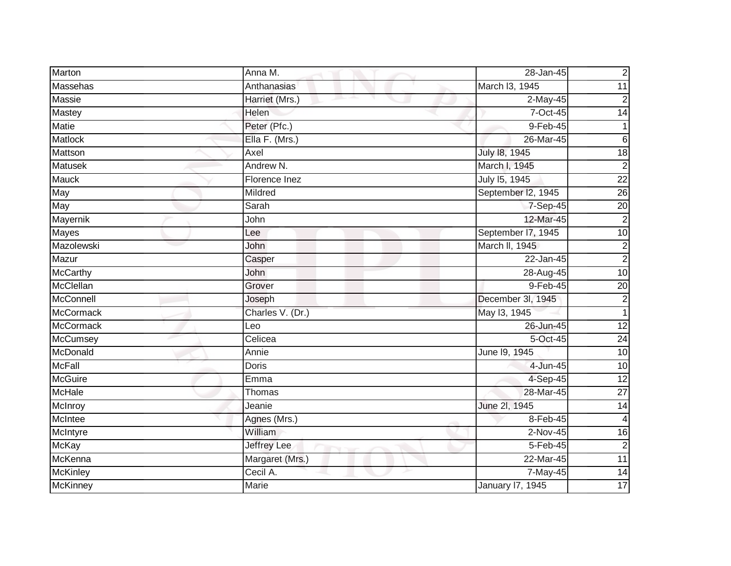| Marton           | Anna M.            | 28-Jan-45          | $\mathbf 2$             |
|------------------|--------------------|--------------------|-------------------------|
| Massehas         | Anthanasias        | March I3, 1945     | 11                      |
| Massie           | Harriet (Mrs.)     | 2-May-45           | $\overline{\mathbf{c}}$ |
| <b>Mastey</b>    | Helen              | 7-Oct-45           | $\overline{14}$         |
| <b>Matie</b>     | Peter (Pfc.)       | 9-Feb-45           | 1                       |
| Matlock          | Ella F. (Mrs.)     | 26-Mar-45          | 6                       |
| Mattson          | Axel               | July 18, 1945      | $\overline{18}$         |
| <b>Matusek</b>   | Andrew N.          | March I, 1945      | $\overline{2}$          |
| <b>Mauck</b>     | Florence Inez      | July 15, 1945      | $\overline{22}$         |
| May              | Mildred            | September I2, 1945 | $\overline{26}$         |
| May              | Sarah              | 7-Sep-45           | $\overline{20}$         |
| Mayernik         | John               | 12-Mar-45          | $\overline{c}$          |
| Mayes            | Lee                | September I7, 1945 | 10                      |
| Mazolewski       | John               | March II, 1945     | $\mathbf 2$             |
| Mazur            | Casper             | 22-Jan-45          | $\overline{c}$          |
| <b>McCarthy</b>  | John               | 28-Aug-45          | 10                      |
| McClellan        | Grover             | 9-Feb-45           | $\overline{20}$         |
| McConnell        | Joseph             | December 3l, 1945  | 2                       |
| <b>McCormack</b> | Charles V. (Dr.)   | May 13, 1945       | $\mathbf{1}$            |
| <b>McCormack</b> | Leo                | 26-Jun-45          | 12                      |
| <b>McCumsey</b>  | Celicea            | 5-Oct-45           | 24                      |
| McDonald         | Annie              | June 19, 1945      | 10                      |
| <b>McFall</b>    | Doris              | 4-Jun-45           | 10                      |
| <b>McGuire</b>   | Emma               | 4-Sep-45           | $\overline{12}$         |
| McHale           | Thomas             | 28-Mar-45          | $\overline{27}$         |
| McInroy          | Jeanie             | June 2l, 1945      | $\overline{14}$         |
| McIntee          | Agnes (Mrs.)       | 8-Feb-45           | 4                       |
| McIntyre         | William            | 2-Nov-45           | $\overline{16}$         |
| <b>McKay</b>     | <b>Jeffrey Lee</b> | 5-Feb-45           | $\overline{2}$          |
| McKenna          | Margaret (Mrs.)    | 22-Mar-45          | 11                      |
| <b>McKinley</b>  | Cecil A.           | 7-May-45           | $\overline{14}$         |
| <b>McKinney</b>  | Marie              | January 17, 1945   | 17                      |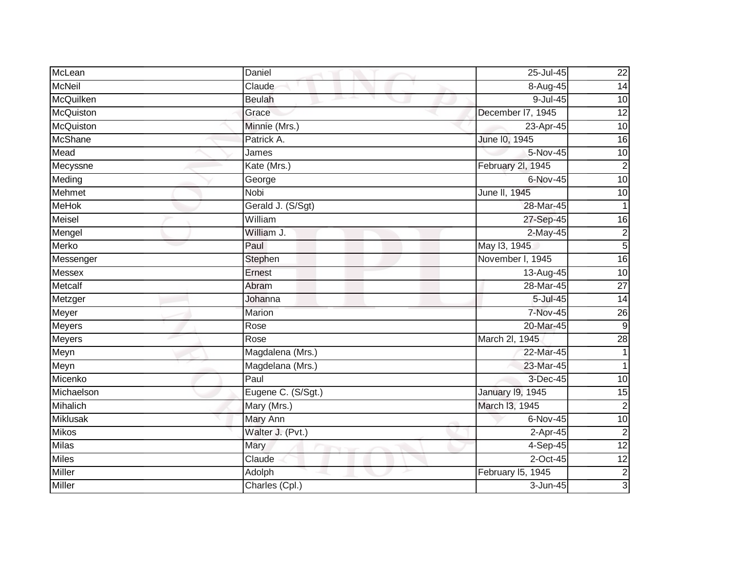| McLean          | Daniel             | 25-Jul-45         | 22              |
|-----------------|--------------------|-------------------|-----------------|
| <b>McNeil</b>   | Claude             | $8 -$ Aug-45      | $\overline{14}$ |
| McQuilken       | <b>Beulah</b>      | $9$ -Jul-45       | $\overline{10}$ |
| McQuiston       | Grace              | December I7, 1945 | $\overline{12}$ |
| McQuiston       | Minnie (Mrs.)      | 23-Apr-45         | 10              |
| <b>McShane</b>  | Patrick A.         | June 10, 1945     | 16              |
| Mead            | James              | 5-Nov-45          | 10              |
| Mecyssne        | Kate (Mrs.)        | February 2l, 1945 | $\overline{2}$  |
| Meding          | George             | 6-Nov-45          | 10              |
| <b>Mehmet</b>   | Nobi               | June II, 1945     | 10              |
| <b>MeHok</b>    | Gerald J. (S/Sgt)  | 28-Mar-45         |                 |
| Meisel          | William            | 27-Sep-45         | 16              |
| Mengel          | William J.         | 2-May-45          | $\overline{c}$  |
| Merko           | Paul               | May 13, 1945      | $\overline{5}$  |
| Messenger       | Stephen            | November I, 1945  | 16              |
| Messex          | Ernest             | 13-Aug-45         | 10              |
| <b>Metcalf</b>  | Abram              | 28-Mar-45         | $\overline{27}$ |
| Metzger         | Johanna            | 5-Jul-45          | $\overline{14}$ |
| Meyer           | Marion             | <b>7-Nov-45</b>   | $\overline{26}$ |
| <b>Meyers</b>   | Rose               | 20-Mar-45         | $\overline{9}$  |
| Meyers          | Rose               | March 2I, 1945    | 28              |
| Meyn            | Magdalena (Mrs.)   | 22-Mar-45         |                 |
| Meyn            | Magdelana (Mrs.)   | 23-Mar-45         |                 |
| Micenko         | Paul               | 3-Dec-45          | 10              |
| Michaelson      | Eugene C. (S/Sgt.) | January 19, 1945  | 15              |
| Mihalich        | Mary (Mrs.)        | March I3, 1945    | $\overline{2}$  |
| <b>Miklusak</b> | <b>Mary Ann</b>    | 6-Nov-45          | 10              |
| <b>Mikos</b>    | Walter J. (Pvt.)   | 2-Apr-45          | $\overline{2}$  |
| <b>Milas</b>    | Mary               | 4-Sep-45          | 12              |
| <b>Miles</b>    | Claude             | $2$ -Oct-45       | 12              |
| <b>Miller</b>   | Adolph             | February I5, 1945 | $\overline{c}$  |
| Miller          | Charles (Cpl.)     | 3-Jun-45          | 3               |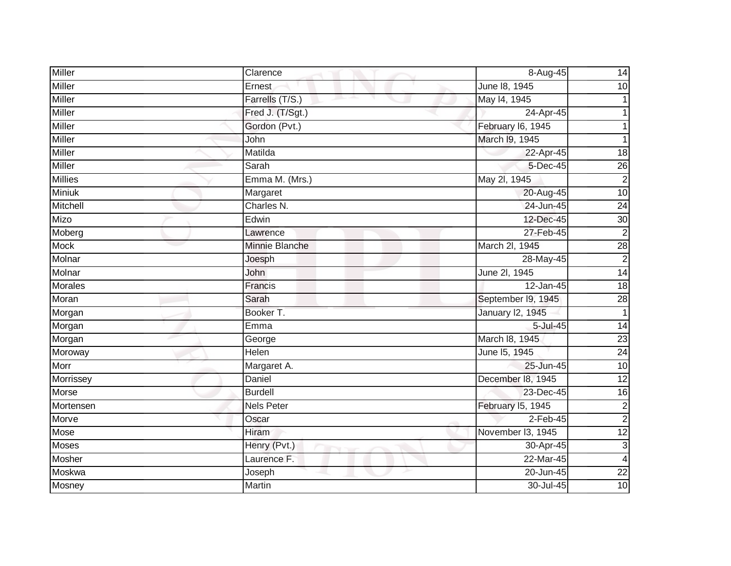| <b>Miller</b>  | Clarence          | 8-Aug-45           | 14                      |
|----------------|-------------------|--------------------|-------------------------|
| Miller         | Ernest            | June 18, 1945      | 10                      |
| Miller         | Farrells (T/S.)   | May 14, 1945       |                         |
| Miller         | Fred J. (T/Sgt.)  | 24-Apr-45          |                         |
| Miller         | Gordon (Pvt.)     | February I6, 1945  |                         |
| Miller         | John              | March 19, 1945     |                         |
| Miller         | Matilda           | 22-Apr-45          | $\overline{18}$         |
| Miller         | Sarah             | 5-Dec-45           | $\overline{26}$         |
| <b>Millies</b> | Emma M. (Mrs.)    | May 2l, 1945       | $\boldsymbol{2}$        |
| <b>Miniuk</b>  | Margaret          | 20-Aug-45          | 10                      |
| Mitchell       | Charles N.        | 24-Jun-45          | $\overline{24}$         |
| Mizo           | Edwin             | 12-Dec-45          | 30                      |
| Moberg         | Lawrence          | 27-Feb-45          | $\overline{2}$          |
| <b>Mock</b>    | Minnie Blanche    | March 2I, 1945     | $\overline{28}$         |
| Molnar         | Joesph            | 28-May-45          | $\overline{2}$          |
| Molnar         | John              | June 2l, 1945      | 14                      |
| Morales        | Francis           | 12-Jan-45          | $\overline{18}$         |
| Moran          | Sarah             | September I9, 1945 | 28                      |
| Morgan         | Booker T.         | January 12, 1945   | $\overline{1}$          |
| Morgan         | Emma              | 5-Jul-45           | $\overline{14}$         |
| Morgan         | George            | March 18, 1945     | $\overline{23}$         |
| Moroway        | Helen             | June 15, 1945      | $\overline{24}$         |
| Morr           | Margaret A.       | 25-Jun-45          | 10                      |
| Morrissey      | Daniel            | December 18, 1945  | $\overline{12}$         |
| Morse          | <b>Burdell</b>    | 23-Dec-45          | 16                      |
| Mortensen      | <b>Nels Peter</b> | February 15, 1945  | $\overline{2}$          |
| Morve          | Oscar             | $2$ -Feb-45        | $\overline{2}$          |
| Mose           | Hiram             | November I3, 1945  | 12                      |
| <b>Moses</b>   | Henry (Pvt.)      | 30-Apr-45          | $\overline{3}$          |
| Mosher         | Laurence F.       | 22-Mar-45          | $\overline{\mathbf{4}}$ |
| Moskwa         | Joseph            | 20-Jun-45          | $\overline{22}$         |
| Mosney         | Martin            | 30-Jul-45          | $\overline{10}$         |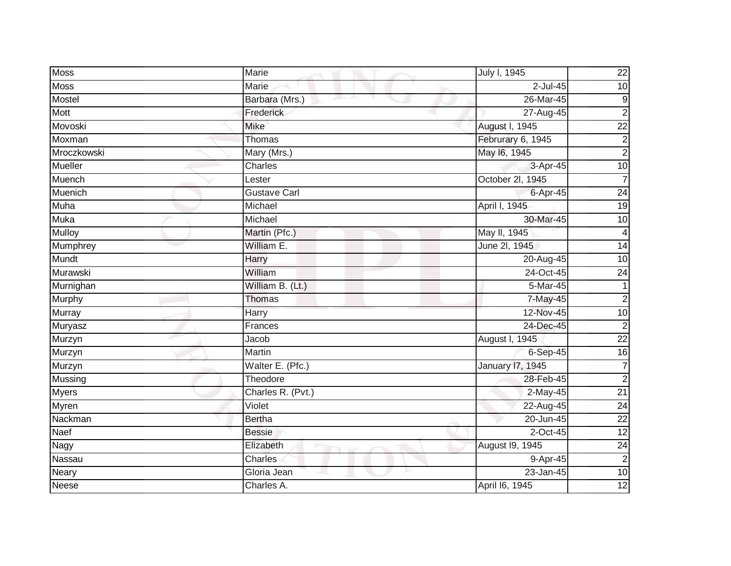| <b>Moss</b>  | Marie               | July I, 1945      | $\overline{22}$  |
|--------------|---------------------|-------------------|------------------|
| Moss         | Marie               | 2-Jul-45          | $\overline{10}$  |
| Mostel       | Barbara (Mrs.)      | 26-Mar-45         | $\boldsymbol{9}$ |
| Mott         | Frederick           | 27-Aug-45         | $\overline{2}$   |
| Movoski      | <b>Mike</b>         | August I, 1945    | $\overline{22}$  |
| Moxman       | Thomas              | Februrary 6, 1945 | $\boldsymbol{2}$ |
| Mroczkowski  | Mary (Mrs.)         | May 16, 1945      | $\overline{2}$   |
| Mueller      | Charles             | 3-Apr-45          | $\overline{10}$  |
| Muench       | Lester              | October 2l, 1945  | 7                |
| Muenich      | <b>Gustave Carl</b> | 6-Apr-45          | 24               |
| Muha         | Michael             | April I, 1945     | 19               |
| <b>Muka</b>  | Michael             | 30-Mar-45         | 10               |
| Mulloy       | Martin (Pfc.)       | May II, 1945      | 4                |
| Mumphrey     | William E.          | June 2l, 1945     | 14               |
| Mundt        | <b>Harry</b>        | 20-Aug-45         | $\overline{10}$  |
| Murawski     | William             | 24-Oct-45         | 24               |
| Murnighan    | William B. (Lt.)    | 5-Mar-45          | 1                |
| Murphy       | Thomas              | 7-May-45          | $\overline{2}$   |
| Murray       | Harry               | 12-Nov-45         | 10               |
| Muryasz      | Frances             | 24-Dec-45         | $\overline{2}$   |
| Murzyn       | Jacob               | August I, 1945    | $\overline{22}$  |
| Murzyn       | Martin              | 6-Sep-45          | 16               |
| Murzyn       | Walter E. (Pfc.)    | January 17, 1945  | $\overline{7}$   |
| Mussing      | Theodore            | 28-Feb-45         | $\overline{2}$   |
| <b>Myers</b> | Charles R. (Pvt.)   | $2$ -May-45       | $\overline{21}$  |
| Myren        | Violet              | $22-Aug-45$       | $\overline{24}$  |
| Nackman      | Bertha              | 20-Jun-45         | $\overline{22}$  |
| Naef         | <b>Bessie</b>       | 2-Oct-45          | 12               |
| Nagy         | Elizabeth           | August 19, 1945   | $\overline{24}$  |
| Nassau       | Charles             | 9-Apr-45          | $\overline{2}$   |
| Neary        | Gloria Jean         | 23-Jan-45         | 10               |
| <b>Neese</b> | Charles A.          | April 16, 1945    | 12               |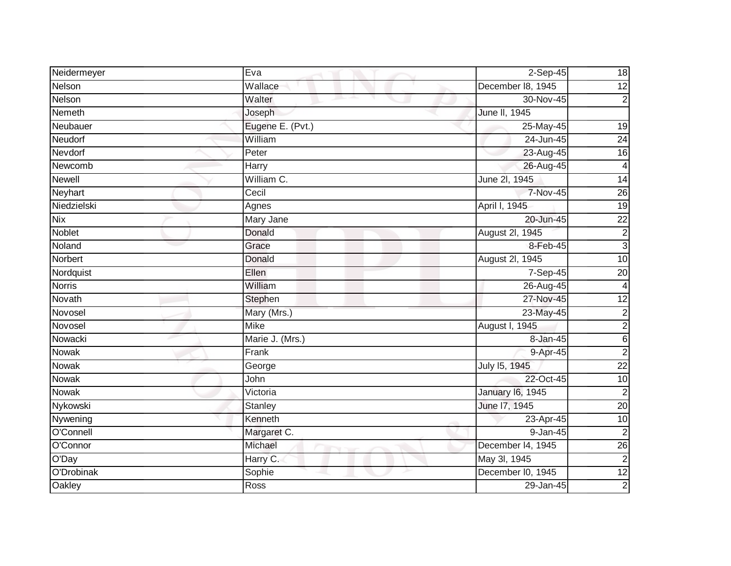| Neidermeyer   | Eva              | $2-Sep-45$              | 18                      |
|---------------|------------------|-------------------------|-------------------------|
| Nelson        | Wallace          | December 18, 1945       | 12                      |
| Nelson        | Walter<br>m.     | 30-Nov-45               | $\overline{2}$          |
| Nemeth        | Joseph           | June II, 1945           |                         |
| Neubauer      | Eugene E. (Pvt.) | 25-May-45               | $\overline{19}$         |
| Neudorf       | William          | 24-Jun-45               | 24                      |
| Nevdorf       | Peter            | 23-Aug-45               | 16                      |
| Newcomb       | Harry            | 26-Aug-45               | $\overline{\mathbf{4}}$ |
| <b>Newell</b> | William C.       | June 2l, 1945           | 14                      |
| Neyhart       | Cecil            | 7-Nov-45                | 26                      |
| Niedzielski   | Agnes            | April I, 1945           | $\overline{19}$         |
| <b>Nix</b>    | Mary Jane        | 20-Jun-45               | $\overline{22}$         |
| Noblet        | Donald           | August 2l, 1945         | $\overline{c}$          |
| Noland        | Grace            | 8-Feb-45                | دى                      |
| Norbert       | Donald           | August 2I, 1945         | 10                      |
| Nordquist     | Ellen            | 7-Sep-45                | $\overline{20}$         |
| <b>Norris</b> | William          | 26-Aug-45               | $\overline{4}$          |
| Novath        | Stephen          | 27-Nov-45               | 12                      |
| Novosel       | Mary (Mrs.)      | 23-May-45               | $\overline{2}$          |
| Novosel       | <b>Mike</b>      | August I, 1945          | $\overline{2}$          |
| Nowacki       | Marie J. (Mrs.)  | 8-Jan-45                | $6\phantom{.}6$         |
| <b>Nowak</b>  | Frank            | 9-Apr-45                | $\overline{2}$          |
| <b>Nowak</b>  | George           | July 15, 1945           | $\overline{22}$         |
| Nowak         | John             | 22-Oct-45               | $\overline{10}$         |
| Nowak         | Victoria         | <b>January 16, 1945</b> | $\overline{2}$          |
| Nykowski      | Stanley          | June 17, 1945           | $\overline{20}$         |
| Nywening      | Kenneth          | 23-Apr-45               | 10                      |
| O'Connell     | Margaret C.      | 9-Jan-45                | $\overline{c}$          |
| O'Connor      | Michael          | December I4, 1945       | 26                      |
| O'Day         | Harry C.         | May 3l, 1945            | $\overline{2}$          |
| O'Drobinak    | Sophie           | December I0, 1945       | $\overline{12}$         |
| Oakley        | Ross             | 29-Jan-45               | $\overline{2}$          |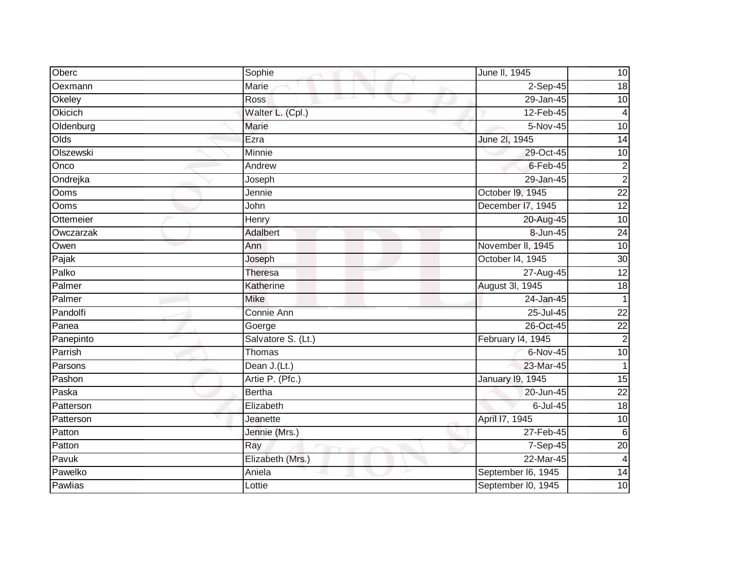| Oberc     | Sophie             | June II, 1945           | 10              |
|-----------|--------------------|-------------------------|-----------------|
| Oexmann   | Marie              | $2-Sep-45$              | 18              |
| Okeley    | Ross<br>m.         | 29-Jan-45               | $\overline{10}$ |
| Okicich   | Walter L. (Cpl.)   | 12-Feb-45               | 4               |
| Oldenburg | <b>Marie</b>       | $5-Nov-45$              | 10              |
| Olds      | Ezra               | June 2l, 1945           | $\overline{14}$ |
| Olszewski | Minnie             | 29-Oct-45               | 10              |
| Onco      | Andrew             | $6$ -Feb-45             | $\overline{c}$  |
| Ondrejka  | Joseph             | 29-Jan-45               | $\overline{2}$  |
| Ooms      | Jennie             | October 19, 1945        | $\overline{22}$ |
| Ooms      | John               | December I7, 1945       | 12              |
| Ottemeier | Henry              | 20-Aug-45               | 10              |
| Owczarzak | Adalbert           | 8-Jun-45                | $\overline{24}$ |
| Owen      | Ann                | November II, 1945       | $\overline{10}$ |
| Pajak     | Joseph             | October I4, 1945        | 30              |
| Palko     | Theresa            | 27-Aug-45               | $\overline{12}$ |
| Palmer    | Katherine          | August 3l, 1945         | 18              |
| Palmer    | <b>Mike</b>        | 24-Jan-45               | $\mathbf{1}$    |
| Pandolfi  | Connie Ann         | 25-Jul-45               | $\overline{22}$ |
| Panea     | Goerge             | 26-Oct-45               | $\overline{22}$ |
| Panepinto | Salvatore S. (Lt.) | February I4, 1945       | $\overline{c}$  |
| Parrish   | Thomas             | 6-Nov-45                | 10              |
| Parsons   | Dean J.(Lt.)       | 23-Mar-45               |                 |
| Pashon    | Artie P. (Pfc.)    | <b>January 19, 1945</b> | 15              |
| Paska     | <b>Bertha</b>      | 20-Jun-45               | $\overline{22}$ |
| Patterson | Elizabeth          | 6-Jul-45                | $\frac{1}{8}$   |
| Patterson | Jeanette           | April 17, 1945          | $\overline{10}$ |
| Patton    | Jennie (Mrs.)      | 27-Feb-45               | $6\phantom{1}6$ |
| Patton    | Ray                | 7-Sep-45                | $\overline{20}$ |
| Pavuk     | Elizabeth (Mrs.)   | 22-Mar-45               | $\overline{4}$  |
| Pawelko   | Aniela             | September I6, 1945      | $\overline{14}$ |
| Pawlias   | Lottie             | September I0, 1945      | 10              |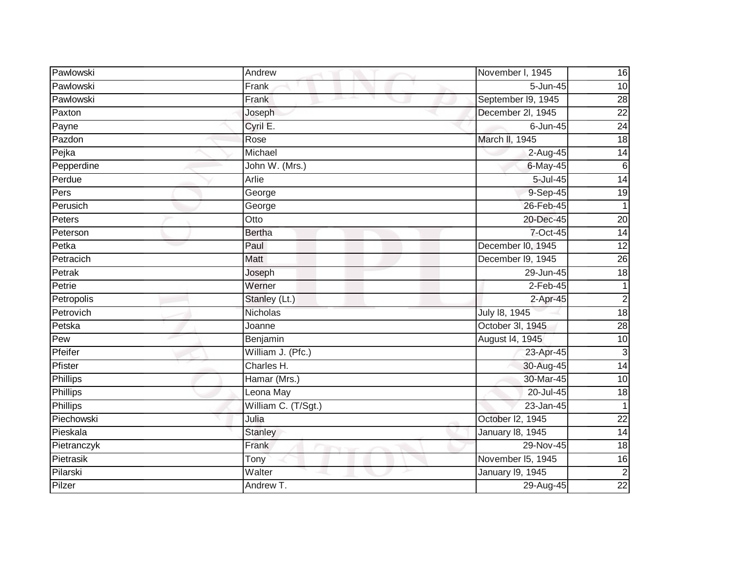| Pawlowski   | Andrew              | November I, 1945   | 16              |
|-------------|---------------------|--------------------|-----------------|
| Pawlowski   | Frank               | $5 - Jun-45$       | 10              |
| Pawlowski   | Frank               | September I9, 1945 | 28              |
| Paxton      | Joseph              | December 2l, 1945  | $\overline{22}$ |
| Payne       | Cyril E.            | $6$ -Jun-45        | 24              |
| Pazdon      | Rose                | March II, 1945     | 18              |
| Pejka       | Michael             | 2-Aug-45           | $\overline{14}$ |
| Pepperdine  | John W. (Mrs.)      | $6$ -May-45        | $\,6$           |
| Perdue      | Arlie               | 5-Jul-45           | $\overline{14}$ |
| Pers        | George              | 9-Sep-45           | 19              |
| Perusich    | George              | 26-Feb-45          | $\mathbf{1}$    |
| Peters      | Otto                | 20-Dec-45          | 20              |
| Peterson    | <b>Bertha</b>       | 7-Oct-45           | 14              |
| Petka       | Paul                | December I0, 1945  | $\overline{12}$ |
| Petracich   | Matt                | December I9, 1945  | 26              |
| Petrak      | Joseph              | 29-Jun-45          | $\frac{1}{8}$   |
| Petrie      | Werner              | $2-Feb-45$         | 1               |
| Petropolis  | Stanley (Lt.)       | $2-Apr-45$         | $\overline{2}$  |
| Petrovich   | <b>Nicholas</b>     | July 18, 1945      | 18              |
| Petska      | Joanne              | October 3l, 1945   | $\overline{28}$ |
| Pew         | Benjamin            | August 14, 1945    | 10              |
| Pfeifer     | William J. (Pfc.)   | 23-Apr-45          | $\overline{3}$  |
| Pfister     | Charles H.          | 30-Aug-45          | $\overline{14}$ |
| Phillips    | Hamar (Mrs.)        | 30-Mar-45          | 10              |
| Phillips    | Leona May           | 20-Jul-45          | 18              |
| Phillips    | William C. (T/Sgt.) | 23-Jan-45          |                 |
| Piechowski  | Julia               | October I2, 1945   | $\overline{22}$ |
| Pieskala    | <b>Stanley</b>      | January 18, 1945   | $\overline{14}$ |
| Pietranczyk | Frank               | 29-Nov-45          | $\overline{18}$ |
| Pietrasik   | Tony                | November I5, 1945  | 16              |
| Pilarski    | Walter              | January 19, 1945   | $\overline{2}$  |
| Pilzer      | Andrew T.           | 29-Aug-45          | $\overline{22}$ |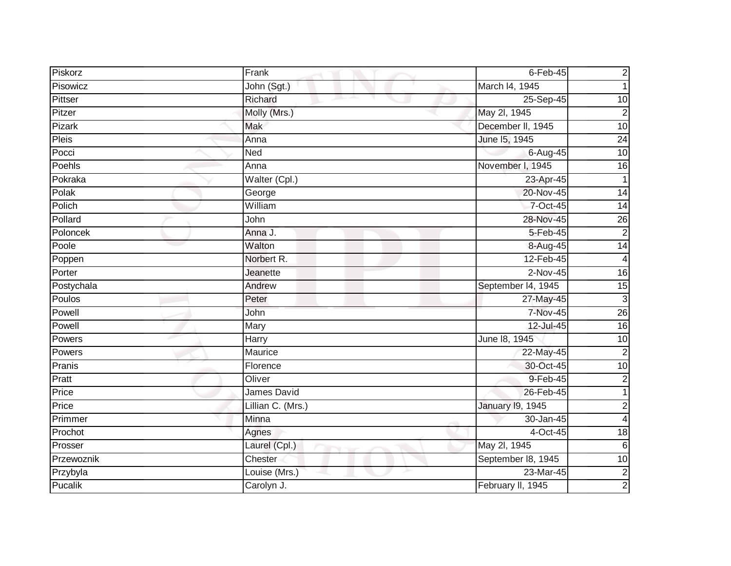| Piskorz       | Frank              | $6$ -Feb-45        | $\mathbf 2$               |
|---------------|--------------------|--------------------|---------------------------|
| Pisowicz      | John (Sgt.)        | March I4, 1945     |                           |
| Pittser       | Richard<br>and the | 25-Sep-45          | 10                        |
| Pitzer        | Molly (Mrs.)       | May 2l, 1945       | $\overline{2}$            |
| <b>Pizark</b> | Mak                | December II, 1945  | 10                        |
| <b>Pleis</b>  | Anna               | June 15, 1945      | 24                        |
| Pocci         | Ned                | 6-Aug-45           | 10                        |
| Poehls        | Anna               | November I, 1945   | 16                        |
| Pokraka       | Walter (Cpl.)      | 23-Apr-45          | 1                         |
| Polak         | George             | 20-Nov-45          | $\overline{14}$           |
| Polich        | William            | 7-Oct-45           | $\overline{14}$           |
| Pollard       | John               | 28-Nov-45          | 26                        |
| Poloncek      | Anna J.            | 5-Feb-45           | $\overline{2}$            |
| Poole         | Walton             | 8-Aug-45           | $\overline{14}$           |
| Poppen        | Norbert R.         | 12-Feb-45          | 4                         |
| Porter        | Jeanette           | $2-Nov-45$         | $\overline{16}$           |
| Postychala    | Andrew             | September 14, 1945 | 15                        |
| Poulos        | Peter              | 27-May-45          | $\ensuremath{\mathsf{3}}$ |
| Powell        | John               | 7-Nov-45           | 26                        |
| Powell        | Mary               | 12-Jul-45          | 16                        |
| Powers        | Harry              | June 18, 1945      | 10                        |
| Powers        | Maurice            | 22-May-45          | $\overline{2}$            |
| Pranis        | Florence           | 30-Oct-45          | $\overline{10}$           |
| Pratt         | Oliver             | 9-Feb-45           | $\overline{c}$            |
| Price         | James David        | 26-Feb-45          | 1                         |
| Price         | Lillian C. (Mrs.)  | January 19, 1945   | $\overline{c}$            |
| Primmer       | Minna              | 30-Jan-45          | 4                         |
| Prochot       | Agnes              | 4-Oct-45           | 18                        |
| Prosser       | Laurel (Cpl.)      | May 2l, 1945       | $6\phantom{.}6$           |
| Przewoznik    | Chester            | September 18, 1945 | 10                        |
| Przybyla      | Louise (Mrs.)      | 23-Mar-45          | $\overline{\mathbf{c}}$   |
| Pucalik       | Carolyn J.         | February II, 1945  | 2                         |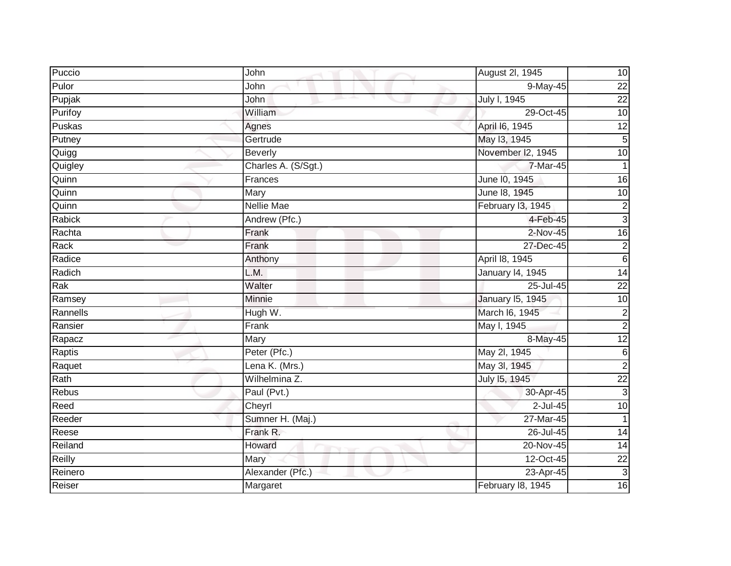| Puccio   | John                | August 2l, 1945         | 10              |
|----------|---------------------|-------------------------|-----------------|
| Pulor    | John                | $9$ -May-45             | $\overline{22}$ |
| Pupjak   | John                | July I, 1945            | 22              |
| Purifoy  | William             | 29-Oct-45               | 10              |
| Puskas   | Agnes               | April 16, 1945          | 12              |
| Putney   | Gertrude            | May 13, 1945            | 5               |
| Quigg    | <b>Beverly</b>      | November I2, 1945       | $\overline{10}$ |
| Quigley  | Charles A. (S/Sgt.) | 7-Mar-45                |                 |
| Quinn    | Frances             | June 10, 1945           | 16              |
| Quinn    | Mary                | June 18, 1945           | 10              |
| Quinn    | <b>Nellie Mae</b>   | February I3, 1945       | $\overline{c}$  |
| Rabick   | Andrew (Pfc.)       | 4-Feb-45                | دن              |
| Rachta   | Frank               | 2-Nov-45                | 16              |
| Rack     | Frank               | 27-Dec-45               | $\overline{c}$  |
| Radice   | Anthony             | April 18, 1945          | $\sigma$        |
| Radich   | L.M.                | January 14, 1945        | $\overline{14}$ |
| Rak      | Walter              | 25-Jul-45               | $\overline{22}$ |
| Ramsey   | <b>Minnie</b>       | <b>January 15, 1945</b> | 10              |
| Rannells | Hugh W.             | March I6, 1945          | $\overline{c}$  |
| Ransier  | Frank               | May I, 1945             | $\overline{2}$  |
| Rapacz   | Mary                | 8-May-45                | 12              |
| Raptis   | Peter (Pfc.)        | May 2l, 1945            | $\overline{6}$  |
| Raquet   | Lena K. (Mrs.)      | May 3l, 1945            | $\overline{2}$  |
| Rath     | Wilhelmina Z.       | July 15, 1945           | $\overline{22}$ |
| Rebus    | Paul (Pvt.)         | 30-Apr-45               | دى              |
| Reed     | Cheyrl              | $2$ -Jul-45             | $\overline{10}$ |
| Reeder   | Sumner H. (Maj.)    | 27-Mar-45               | 1               |
| Reese    | Frank R.            | 26-Jul-45               | $\overline{14}$ |
| Reiland  | Howard              | 20-Nov-45               | $\overline{14}$ |
| Reilly   | Mary                | 12-Oct-45               | $\overline{22}$ |
| Reinero  | Alexander (Pfc.)    | 23-Apr-45               | $\overline{3}$  |
| Reiser   | Margaret            | February 18, 1945       | 16              |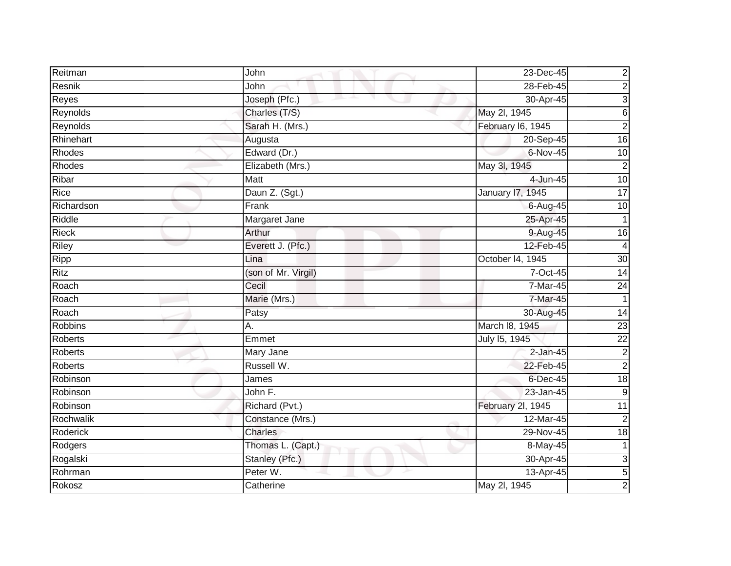| Reitman        | John                | 23-Dec-45         | $\overline{\mathbf{c}}$ |
|----------------|---------------------|-------------------|-------------------------|
| Resnik         | John                | 28-Feb-45         | $\overline{c}$          |
| Reyes          | Joseph (Pfc.)       | 30-Apr-45         | 3                       |
| Reynolds       | Charles (T/S)       | May 2l, 1945      | 6                       |
| Reynolds       | Sarah H. (Mrs.)     | February I6, 1945 | $\overline{2}$          |
| Rhinehart      | Augusta             | 20-Sep-45         | 16                      |
| Rhodes         | Edward (Dr.)        | 6-Nov-45          | 10                      |
| Rhodes         | Elizabeth (Mrs.)    | May 3l, 1945      | $\overline{2}$          |
| Ribar          | Matt                | 4-Jun-45          | 10                      |
| <b>Rice</b>    | Daun Z. (Sgt.)      | January 17, 1945  | 17                      |
| Richardson     | Frank               | 6-Aug-45          | 10                      |
| Riddle         | Margaret Jane       | 25-Apr-45         | 1                       |
| <b>Rieck</b>   | Arthur              | 9-Aug-45          | 16                      |
| <b>Riley</b>   | Everett J. (Pfc.)   | 12-Feb-45         | 4                       |
| Ripp           | Lina                | October 14, 1945  | 30                      |
| <b>Ritz</b>    | (son of Mr. Virgil) | 7-Oct-45          | 14                      |
| Roach          | Cecil               | 7-Mar-45          | $\overline{24}$         |
| Roach          | Marie (Mrs.)        | 7-Mar-45          |                         |
| Roach          | Patsy               | 30-Aug-45         | 14                      |
| <b>Robbins</b> | Α.                  | March 18, 1945    | $\overline{23}$         |
| Roberts        | Emmet               | July 15, 1945     | $\overline{22}$         |
| <b>Roberts</b> | Mary Jane           | $2$ -Jan-45       | $\overline{c}$          |
| <b>Roberts</b> | Russell W.          | 22-Feb-45         | $\mathbf 2$             |
| Robinson       | James               | 6-Dec-45          | 18                      |
| Robinson       | John F.             | 23-Jan-45         | $9\,$                   |
| Robinson       | Richard (Pvt.)      | February 2l, 1945 | 11                      |
| Rochwalik      | Constance (Mrs.)    | 12-Mar-45         | $\overline{2}$          |
| Roderick       | Charles             | 29-Nov-45         | 18                      |
| Rodgers        | Thomas L. (Capt.)   | 8-May-45          | 1                       |
| Rogalski       | Stanley (Pfc.)      | 30-Apr-45         | 3                       |
| Rohrman        | Peter W.            | 13-Apr-45         | 5                       |
| Rokosz         | Catherine           | May 2l, 1945      | $\overline{2}$          |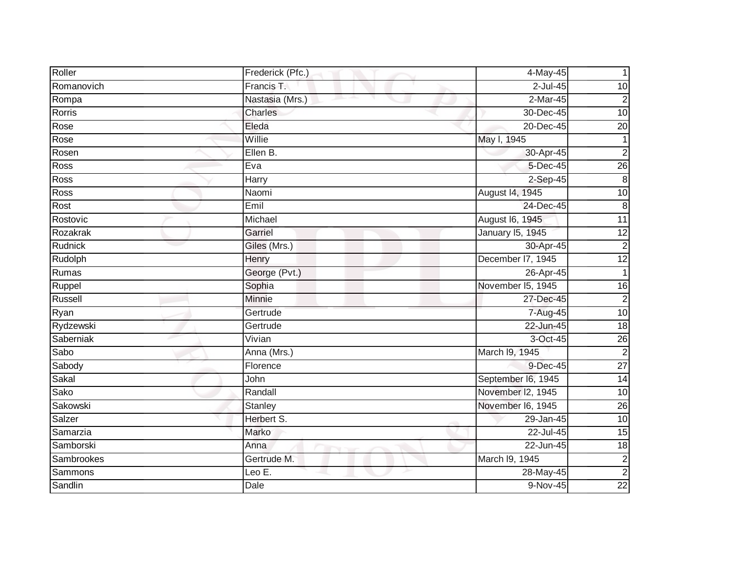| Roller         | Frederick (Pfc.) | 4-May-45                | 1                       |
|----------------|------------------|-------------------------|-------------------------|
| Romanovich     | Francis T.       | 2-Jul-45                | 10                      |
| Rompa          | Nastasia (Mrs.)  | $2-Mar-45$              | $\overline{\mathbf{c}}$ |
| Rorris         | Charles          | 30-Dec-45               | 10                      |
| Rose           | Eleda            | 20-Dec-45               | $\overline{20}$         |
| Rose           | Willie           | May I, 1945             | 1                       |
| Rosen          | Ellen B.         | 30-Apr-45               | $\overline{2}$          |
| Ross           | Eva              | 5-Dec-45                | $\overline{26}$         |
| Ross           | Harry            | $2-Sep-45$              | 8                       |
| <b>Ross</b>    | Naomi            | August 14, 1945         | 10                      |
| Rost           | Emil             | 24-Dec-45               | $\, 8$                  |
| Rostovic       | Michael          | August 16, 1945         | $\overline{11}$         |
| Rozakrak       | Garriel          | <b>January 15, 1945</b> | $\overline{12}$         |
| Rudnick        | Giles (Mrs.)     | 30-Apr-45               | $\overline{2}$          |
| Rudolph        | Henry            | December 17, 1945       | $\overline{12}$         |
| Rumas          | George (Pvt.)    | 26-Apr-45               | $\mathbf 1$             |
| Ruppel         | Sophia           | November I5, 1945       | $\overline{6}$          |
| Russell        | Minnie           | 27-Dec-45               | $\overline{\mathbf{c}}$ |
| Ryan           | Gertrude         | 7-Aug-45                | 10                      |
| Rydzewski      | Gertrude         | $22$ -Jun-45            | $\frac{1}{8}$           |
| Saberniak      | Vivian           | 3-Oct-45                | 26                      |
| Sabo           | Anna (Mrs.)      | March I9, 1945          | $\overline{2}$          |
| Sabody         | Florence         | 9-Dec-45                | $\overline{27}$         |
| Sakal          | John             | September I6, 1945      | 14                      |
| Sako           | Randall          | November I2, 1945       | 10                      |
| Sakowski       | Stanley          | November I6, 1945       | $\overline{26}$         |
| Salzer         | Herbert S.       | 29-Jan-45               | 10                      |
| Samarzia       | Marko            | 22-Jul-45               | 15                      |
| Samborski      | Anna             | 22-Jun-45               | $\frac{1}{8}$           |
| Sambrookes     | Gertrude M.      | March I9, 1945          | $\overline{\mathbf{c}}$ |
| <b>Sammons</b> | Leo E.           | 28-May-45               | $\overline{2}$          |
| Sandlin        | Dale             | 9-Nov-45                | $\overline{22}$         |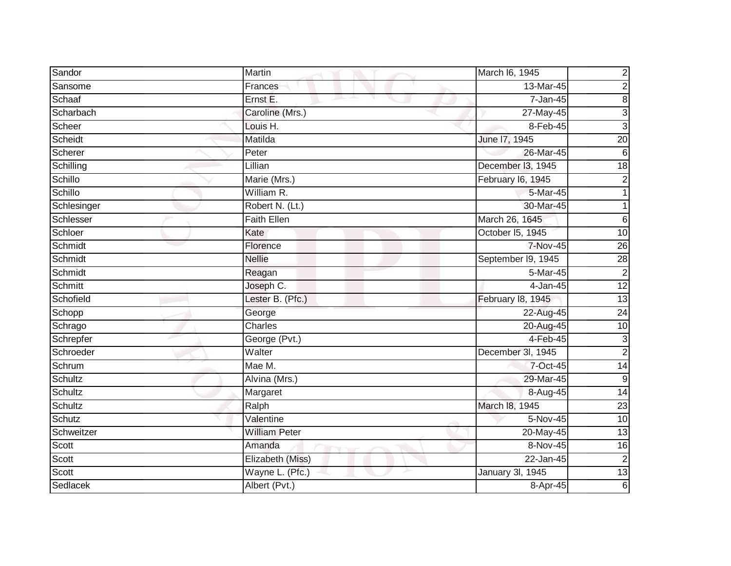| Sandor         | Martin               | March I6, 1945     | $\overline{\mathbf{c}}$ |
|----------------|----------------------|--------------------|-------------------------|
| Sansome        | Frances              | 13-Mar-45          | $\overline{c}$          |
| Schaaf         | Ernst E.             | 7-Jan-45           | 8                       |
| Scharbach      | Caroline (Mrs.)      | 27-May-45          | $\mathbf{3}$            |
| Scheer         | Louis H.             | 8-Feb-45           | $\overline{3}$          |
| Scheidt        | Matilda              | June 17, 1945      | $\overline{20}$         |
| Scherer        | Peter                | 26-Mar-45          | $6\phantom{1}6$         |
| Schilling      | Lillian              | December I3, 1945  | $\overline{18}$         |
| Schillo        | Marie (Mrs.)         | February I6, 1945  | 2                       |
| Schillo        | William R.           | $5-Mar-45$         |                         |
| Schlesinger    | Robert N. (Lt.)      | 30-Mar-45          |                         |
| Schlesser      | Faith Ellen          | March 26, 1645     | 6                       |
| Schloer        | Kate                 | October 15, 1945   | 10                      |
| Schmidt        | Florence             | 7-Nov-45           | $\overline{26}$         |
| Schmidt        | <b>Nellie</b>        | September I9, 1945 | $\overline{28}$         |
| Schmidt        | Reagan               | 5-Mar-45           | $\overline{2}$          |
| <b>Schmitt</b> | Joseph C.            | 4-Jan-45           | 12                      |
| Schofield      | Lester B. (Pfc.)     | February 18, 1945  | 13                      |
| Schopp         | George               | 22-Aug-45          | $\overline{24}$         |
| Schrago        | Charles              | 20-Aug-45          | 10                      |
| Schrepfer      | George (Pvt.)        | $4-Feb-45$         | 3                       |
| Schroeder      | Walter               | December 3I, 1945  | $\overline{2}$          |
| Schrum         | $Mae$ M.             | 7-Oct-45           | 14                      |
| Schultz        | Alvina (Mrs.)        | 29-Mar-45          | 9                       |
| Schultz        | Margaret             | 8-Aug-45           | $\overline{14}$         |
| Schultz        | Ralph                | March 18, 1945     | $\overline{23}$         |
| Schutz         | Valentine            | $5-Nov-45$         | $\overline{10}$         |
| Schweitzer     | <b>William Peter</b> | 20-May-45          | 13                      |
| Scott          | Amanda               | 8-Nov-45           | 16                      |
| Scott          | Elizabeth (Miss)     | 22-Jan-45          | $\mathbf 2$             |
| Scott          | Wayne L. (Pfc.)      | January 3I, 1945   | 13                      |
| Sedlacek       | Albert (Pvt.)        | 8-Apr-45           | 6                       |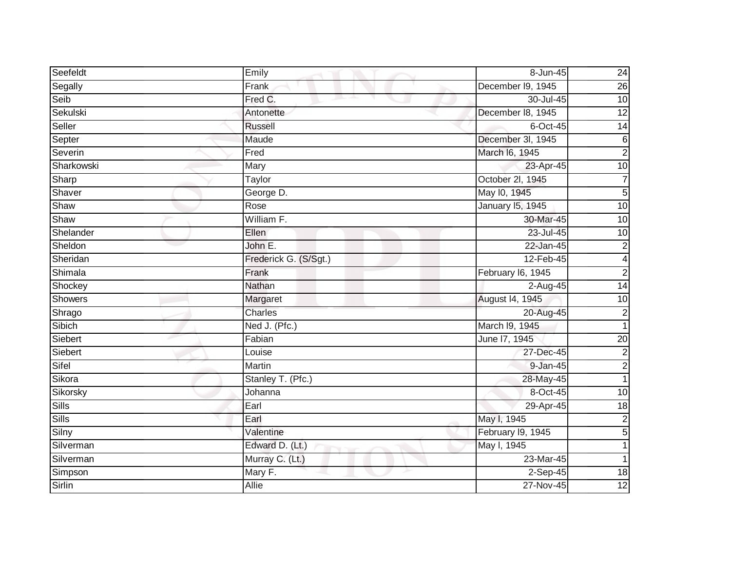| Seefeldt     | Emily                 | 8-Jun-45          | 24              |
|--------------|-----------------------|-------------------|-----------------|
| Segally      | Frank                 | December I9, 1945 | 26              |
| Seib         | Fred C.               | 30-Jul-45         | $\overline{10}$ |
| Sekulski     | Antonette             | December 18, 1945 | $\overline{12}$ |
| Seller       | <b>Russell</b>        | 6-Oct-45          | 14              |
| Septer       | Maude                 | December 3l, 1945 | $\,6$           |
| Severin      | Fred                  | March I6, 1945    | $\overline{2}$  |
| Sharkowski   | Mary                  | 23-Apr-45         | 10              |
| Sharp        | Taylor                | October 2l, 1945  | 7               |
| Shaver       | George D.             | May 10, 1945      | $\overline{5}$  |
| Shaw         | Rose                  | January 15, 1945  | 10              |
| Shaw         | William F.            | 30-Mar-45         | $\overline{10}$ |
| Shelander    | Ellen                 | 23-Jul-45         | 10              |
| Sheldon      | John E.               | 22-Jan-45         | $\overline{2}$  |
| Sheridan     | Frederick G. (S/Sgt.) | 12-Feb-45         | 4               |
| Shimala      | Frank                 | February I6, 1945 | $\overline{c}$  |
| Shockey      | Nathan                | $2-Aug-45$        | 14              |
| Showers      | Margaret              | August 14, 1945   | 10              |
| Shrago       | <b>Charles</b>        | 20-Aug-45         | $\overline{c}$  |
| Sibich       | Ned J. (Pfc.)         | March 19, 1945    |                 |
| Siebert      | Fabian                | June 17, 1945     | 20              |
| Siebert      | Louise                | 27-Dec-45         | $\overline{c}$  |
| Sifel        | Martin                | 9-Jan-45          | $\overline{c}$  |
| Sikora       | Stanley T. (Pfc.)     | 28-May-45         | $\mathbf{1}$    |
| Sikorsky     | Johanna               | 8-Oct-45          | 10              |
| <b>Sills</b> | Earl                  | 29-Apr-45         | $\overline{18}$ |
| <b>Sills</b> | Earl                  | May I, 1945       | $\overline{c}$  |
| Silny        | Valentine             | February I9, 1945 | 5               |
| Silverman    | Edward D. (Lt.)       | May I, 1945       |                 |
| Silverman    | Murray C. (Lt.)       | 23-Mar-45         | 1               |
| Simpson      | Mary F.               | $2-Sep-45$        | 18              |
| Sirlin       | <b>Allie</b>          | 27-Nov-45         | 12              |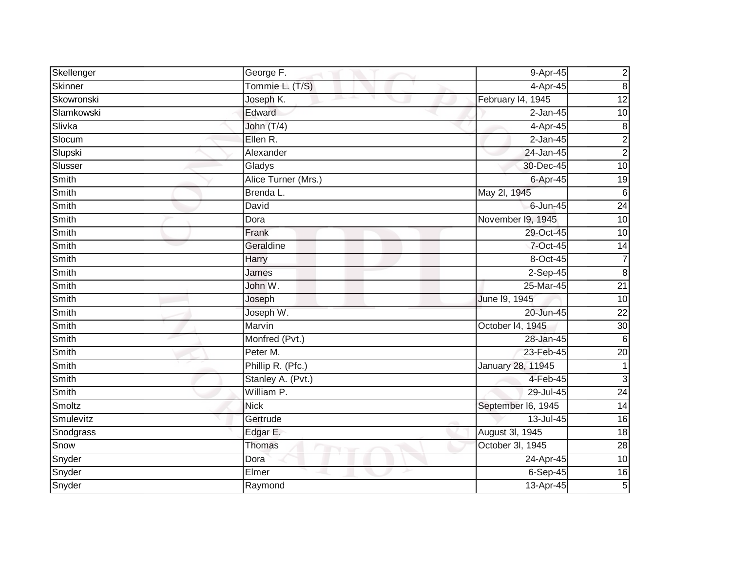| Skellenger | George F.           | $9-Apr-45$         | $\overline{c}$      |
|------------|---------------------|--------------------|---------------------|
| Skinner    | Tommie L. (T/S)     | 4-Apr-45           | $\overline{\infty}$ |
| Skowronski | Joseph K.           | February 14, 1945  | $\overline{12}$     |
| Slamkowski | Edward              | $2$ -Jan-45        | 10                  |
| Slivka     | John (T/4)          | 4-Apr-45           | 8                   |
| Slocum     | Ellen R.            | $2$ -Jan-45        | $\overline{c}$      |
| Slupski    | Alexander           | 24-Jan-45          | $\overline{2}$      |
| Slusser    | Gladys              | 30-Dec-45          | 10                  |
| Smith      | Alice Turner (Mrs.) | 6-Apr-45           | 19                  |
| Smith      | Brenda L.           | May 2l, 1945       | $\sigma$            |
| Smith      | David               | 6-Jun-45           | $\overline{24}$     |
| Smith      | Dora                | November 19, 1945  | 10                  |
| Smith      | Frank               | 29-Oct-45          | $\overline{10}$     |
| Smith      | Geraldine           | 7-Oct-45           | 14                  |
| Smith      | Harry               | 8-Oct-45           | 7                   |
| Smith      | James               | 2-Sep-45           | $\infty$            |
| Smith      | John W.             | 25-Mar-45          | $\overline{21}$     |
| Smith      | Joseph              | June 19, 1945      | 10                  |
| Smith      | Joseph W.           | 20-Jun-45          | $\overline{22}$     |
| Smith      | Marvin              | October 14, 1945   | 30                  |
| Smith      | Monfred (Pvt.)      | 28-Jan-45          | 6                   |
| Smith      | Peter M.            | 23-Feb-45          | $\overline{20}$     |
| Smith      | Phillip R. (Pfc.)   | January 28, 11945  |                     |
| Smith      | Stanley A. (Pvt.)   | 4-Feb-45           | $\mathbf{3}$        |
| Smith      | William P.          | 29-Jul-45          | $\overline{24}$     |
| Smoltz     | <b>Nick</b>         | September I6, 1945 | $\overline{14}$     |
| Smulevitz  | Gertrude            | 13-Jul-45          | $\overline{6}$      |
| Snodgrass  | Edgar E.            | August 3I, 1945    | 18                  |
| Snow       | Thomas              | October 3I, 1945   | $\overline{28}$     |
| Snyder     | Dora                | 24-Apr-45          | $\overline{10}$     |
| Snyder     | Elmer               | $6-Sep-45$         | 16                  |
| Snyder     | Raymond             | 13-Apr-45          | $\overline{5}$      |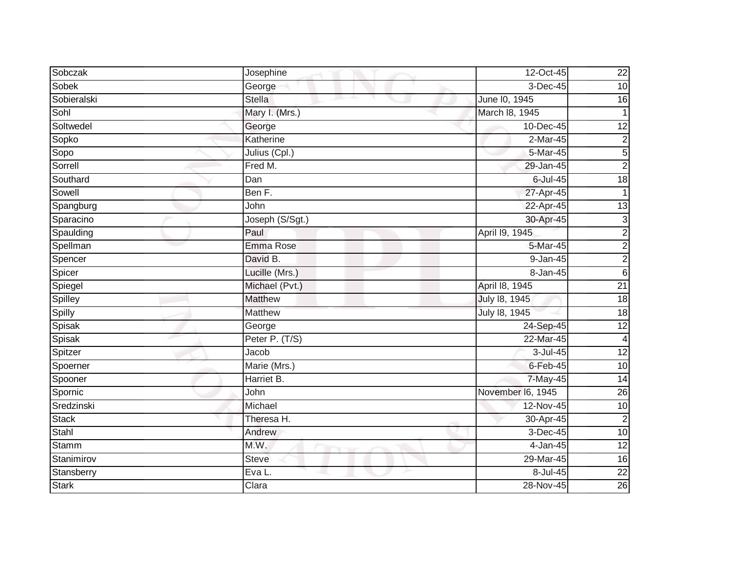| Sobczak      | Josephine       | $12-Oct-45$       | 22              |
|--------------|-----------------|-------------------|-----------------|
| <b>Sobek</b> | George          | 3-Dec-45          | $\overline{10}$ |
| Sobieralski  | <b>Stella</b>   | June 10, 1945     | $\overline{16}$ |
| Sohl         | Mary I. (Mrs.)  | March 18, 1945    | $\mathbf 1$     |
| Soltwedel    | George          | 10-Dec-45         | 12              |
| Sopko        | Katherine       | 2-Mar-45          | $\mathbf 2$     |
| Sopo         | Julius (Cpl.)   | 5-Mar-45          | $\overline{5}$  |
| Sorrell      | Fred M.         | 29-Jan-45         | $\overline{2}$  |
| Southard     | Dan             | $6$ -Jul-45       | $\frac{1}{8}$   |
| Sowell       | Ben F.          | 27-Apr-45         | $\mathbf{1}$    |
| Spangburg    | John            | 22-Apr-45         | $\overline{13}$ |
| Sparacino    | Joseph (S/Sgt.) | 30-Apr-45         | $\mathbf{3}$    |
| Spaulding    | Paul            | April 19, 1945    | $\overline{2}$  |
| Spellman     | Emma Rose       | 5-Mar-45          | $\overline{c}$  |
| Spencer      | David B.        | $9 - Jan-45$      | $\overline{2}$  |
| Spicer       | Lucille (Mrs.)  | 8-Jan-45          | $\,$ 6          |
| Spiegel      | Michael (Pvt.)  | April 18, 1945    | $\overline{21}$ |
| Spilley      | <b>Matthew</b>  | July 18, 1945     | $\frac{1}{8}$   |
| Spilly       | <b>Matthew</b>  | July 18, 1945     | 18              |
| Spisak       | George          | $24-Sep-45$       | 12              |
| Spisak       | Peter P. (T/S)  | 22-Mar-45         | 4               |
| Spitzer      | Jacob           | 3-Jul-45          | 12              |
| Spoerner     | Marie (Mrs.)    | $6$ -Feb-45       | 10              |
| Spooner      | Harriet B.      | 7-May-45          | $\overline{14}$ |
| Spornic      | John            | November I6, 1945 | 26              |
| Sredzinski   | Michael         | $12-Nov-45$       | 10              |
| <b>Stack</b> | Theresa H.      | 30-Apr-45         | $\overline{2}$  |
| Stahl        | Andrew          | 3-Dec-45          | 10              |
| <b>Stamm</b> | M.W.            | 4-Jan-45          | 12              |
| Stanimirov   | <b>Steve</b>    | 29-Mar-45         | 16              |
| Stansberry   | Eva L.          | 8-Jul-45          | $\overline{22}$ |
| <b>Stark</b> | Clara           | 28-Nov-45         | 26              |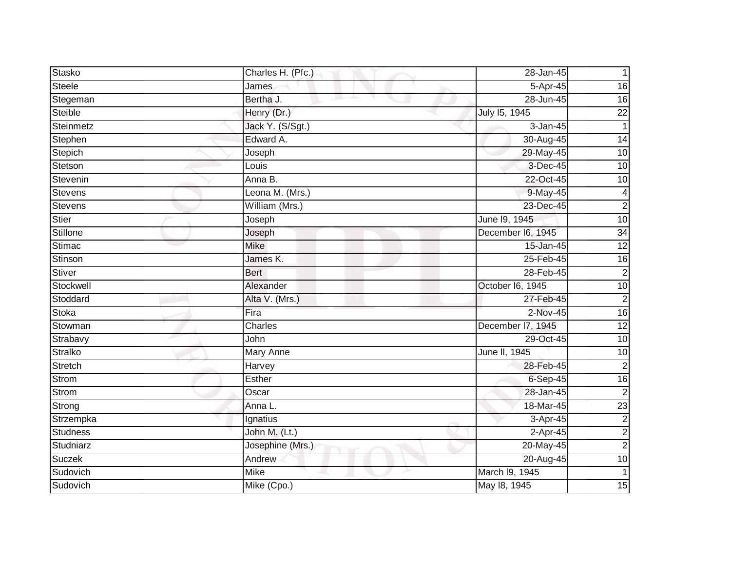| Stasko          | Charles H. (Pfc.) | 28-Jan-45         |                 |
|-----------------|-------------------|-------------------|-----------------|
| <b>Steele</b>   | James             | 5-Apr-45          | 16              |
| Stegeman        | Bertha J.         | 28-Jun-45         | 16              |
| Steible         | Henry (Dr.)       | July 15, 1945     | $\overline{22}$ |
| Steinmetz       | Jack Y. (S/Sgt.)  | 3-Jan-45          | $\mathbf{1}$    |
| Stephen         | Edward A.         | 30-Aug-45         | 14              |
| Stepich         | Joseph            | 29-May-45         | $\overline{10}$ |
| Stetson         | Louis             | 3-Dec-45          | $\overline{10}$ |
| Stevenin        | Anna B.           | 22-Oct-45         | 10              |
| <b>Stevens</b>  | Leona M. (Mrs.)   | 9-May-45          | $\overline{4}$  |
| <b>Stevens</b>  | William (Mrs.)    | 23-Dec-45         | $\overline{c}$  |
| Stier           | Joseph            | June 19, 1945     | $\overline{10}$ |
| Stillone        | Joseph            | December I6, 1945 | 34              |
| Stimac          | <b>Mike</b>       | 15-Jan-45         | 12              |
| Stinson         | James K.          | 25-Feb-45         | 16              |
| <b>Stiver</b>   | <b>Bert</b>       | 28-Feb-45         | $\overline{2}$  |
| Stockwell       | Alexander         | October I6, 1945  | 10              |
| Stoddard        | Alta V. (Mrs.)    | 27-Feb-45         | $\overline{c}$  |
| <b>Stoka</b>    | Fira              | $2-Nov-45$        | 16              |
| Stowman         | Charles           | December 17, 1945 | 12              |
| Strabavy        | John              | 29-Oct-45         | 10              |
| Stralko         | Mary Anne         | June II, 1945     | 10              |
| Stretch         | Harvey            | 28-Feb-45         | $\overline{c}$  |
| Strom           | Esther            | 6-Sep-45          | 16              |
| Strom           | Oscar             | 28-Jan-45         | $\overline{2}$  |
| Strong          | Anna L.           | 18-Mar-45         | 23              |
| Strzempka       | Ignatius          | 3-Apr-45          | $\overline{c}$  |
| <b>Studness</b> | John M. (Lt.)     | 2-Apr-45          | $\overline{2}$  |
| Studniarz       | Josephine (Mrs.)  | 20-May-45         | $\overline{c}$  |
| <b>Suczek</b>   | Andrew            | 20-Aug-45         | 10              |
| Sudovich        | <b>Mike</b>       | March I9, 1945    |                 |
| Sudovich        | Mike (Cpo.)       | May 18, 1945      | 15              |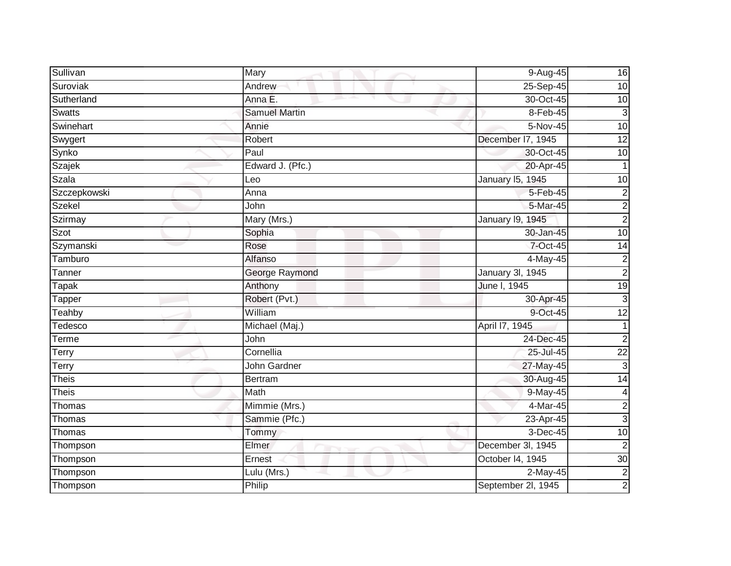| Sullivan      | Mary                 | 9-Aug-45           | 16              |
|---------------|----------------------|--------------------|-----------------|
| Suroviak      | Andrew               | 25-Sep-45          | 10              |
| Sutherland    | Anna E.              | 30-Oct-45          | $\overline{10}$ |
| <b>Swatts</b> | <b>Samuel Martin</b> | 8-Feb-45           | 3               |
| Swinehart     | Annie                | 5-Nov-45           | 10              |
| Swygert       | Robert               | December I7, 1945  | 12              |
| Synko         | Paul                 | 30-Oct-45          | $\overline{10}$ |
| Szajek        | Edward J. (Pfc.)     | 20-Apr-45          |                 |
| Szala         | Leo                  | January 15, 1945   | 10              |
| Szczepkowski  | Anna                 | 5-Feb-45           | $\overline{c}$  |
| <b>Szekel</b> | John                 | 5-Mar-45           | $\overline{c}$  |
| Szirmay       | Mary (Mrs.)          | January 19, 1945   | $\overline{c}$  |
| Szot          | Sophia               | 30-Jan-45          | 10              |
| Szymanski     | Rose                 | 7-Oct-45           | $\overline{14}$ |
| Tamburo       | Alfanso              | 4-May-45           | $\overline{c}$  |
| Tanner        | George Raymond       | January 3I, 1945   | $\overline{c}$  |
| <b>Tapak</b>  | Anthony              | June I, 1945       | 19              |
| Tapper        | Robert (Pvt.)        | 30-Apr-45          | $\mathbf{3}$    |
| Teahby        | William              | 9-Oct-45           | $\overline{12}$ |
| Tedesco       | Michael (Maj.)       | April 17, 1945     |                 |
| Terme         | John                 | 24-Dec-45          | $\overline{2}$  |
| Terry         | Cornellia            | 25-Jul-45          | $\overline{22}$ |
| Terry         | <b>John Gardner</b>  | 27-May-45          | 3               |
| <b>Theis</b>  | Bertram              | 30-Aug-45          | $\overline{14}$ |
| <b>Theis</b>  | Math                 | 9-May-45           | $\overline{4}$  |
| Thomas        | Mimmie (Mrs.)        | $4-Mar-45$         | $\overline{c}$  |
| Thomas        | Sammie (Pfc.)        | 23-Apr-45          | $\mathbf{3}$    |
| Thomas        | Tommy                | 3-Dec-45           | $\overline{10}$ |
| Thompson      | Elmer                | December 3l, 1945  | $\overline{2}$  |
| Thompson      | Ernest               | October 14, 1945   | $\overline{30}$ |
| Thompson      | Lulu (Mrs.)          | 2-May-45           | $\overline{c}$  |
| Thompson      | Philip               | September 2l, 1945 | $\overline{2}$  |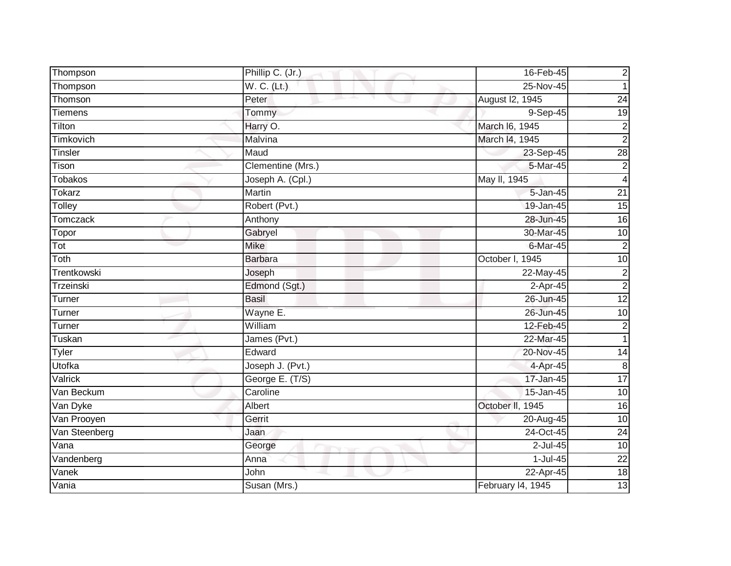| Thompson       | Phillip C. (Jr.)  | 16-Feb-45         | $\overline{\mathbf{c}}$ |
|----------------|-------------------|-------------------|-------------------------|
| Thompson       | W. C. (Lt.)       | 25-Nov-45         | 1                       |
| Thomson        | Peter             | August I2, 1945   | $\overline{24}$         |
| <b>Tiemens</b> | Tommy             | 9-Sep-45          | 19                      |
| Tilton         | Harry O.          | March 16, 1945    | $\boldsymbol{2}$        |
| Timkovich      | Malvina           | March I4, 1945    | $\overline{2}$          |
| <b>Tinsler</b> | Maud              | 23-Sep-45         | $\overline{28}$         |
| Tison          | Clementine (Mrs.) | $5-Mar-45$        | $\mathbf 2$             |
| Tobakos        | Joseph A. (Cpl.)  | May II, 1945      | 4                       |
| <b>Tokarz</b>  | Martin            | $5 - Jan-45$      | $\overline{21}$         |
| Tolley         | Robert (Pvt.)     | 19-Jan-45         | $\overline{15}$         |
| Tomczack       | Anthony           | 28-Jun-45         | 16                      |
| Topor          | Gabryel           | 30-Mar-45         | 10                      |
| Tot            | <b>Mike</b>       | 6-Mar-45          | $\overline{2}$          |
| Toth           | <b>Barbara</b>    | October I, 1945   | 10                      |
| Trentkowski    | Joseph            | 22-May-45         | $\overline{2}$          |
| Trzeinski      | Edmond (Sgt.)     | 2-Apr-45          | $\overline{2}$          |
| Turner         | <b>Basil</b>      | 26-Jun-45         | 12                      |
| Turner         | Wayne E.          | 26-Jun-45         | 10                      |
| Turner         | William           | 12-Feb-45         | $\mathbf 2$             |
| Tuskan         | James (Pvt.)      | 22-Mar-45         | 1                       |
| Tyler          | Edward            | 20-Nov-45         | 14                      |
| Utofka         | Joseph J. (Pvt.)  | 4-Apr-45          | $\, 8$                  |
| Valrick        | George E. (T/S)   | 17-Jan-45         | $\overline{17}$         |
| Van Beckum     | Caroline          | 15-Jan-45         | 10                      |
| Van Dyke       | Albert            | October II, 1945  | $\overline{16}$         |
| Van Prooyen    | Gerrit            | 20-Aug-45         | $\overline{10}$         |
| Van Steenberg  | Jaan              | 24-Oct-45         | $\overline{24}$         |
| Vana           | George            | 2-Jul-45          | $\overline{10}$         |
| Vandenberg     | Anna              | 1-Jul-45          | 22                      |
| Vanek          | John              | 22-Apr-45         | $\frac{1}{8}$           |
| Vania          | Susan (Mrs.)      | February I4, 1945 | 13                      |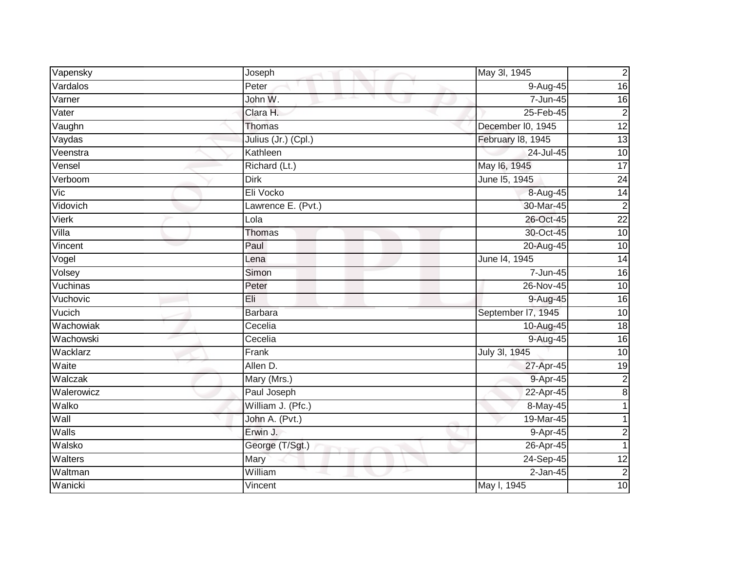| Vapensky     | Joseph              | May 3l, 1945       | $\overline{c}$  |
|--------------|---------------------|--------------------|-----------------|
| Vardalos     | Peter               | $9-Aug-45$         | 16              |
| Varner       | John W.             | 7-Jun-45           | 16              |
| Vater        | Clara H.            | 25-Feb-45          | $\overline{2}$  |
| Vaughn       | <b>Thomas</b>       | December I0, 1945  | 12              |
| Vaydas       | Julius (Jr.) (Cpl.) | February 18, 1945  | 13              |
| Veenstra     | Kathleen            | 24-Jul-45          | 10              |
| Vensel       | Richard (Lt.)       | May 16, 1945       | $\overline{17}$ |
| Verboom      | <b>Dirk</b>         | June 15, 1945      | 24              |
| Vic          | Eli Vocko           | 8-Aug-45           | 14              |
| Vidovich     | Lawrence E. (Pvt.)  | 30-Mar-45          | $\overline{2}$  |
| <b>Vierk</b> | Lola                | 26-Oct-45          | $\overline{22}$ |
| Villa        | Thomas              | 30-Oct-45          | 10              |
| Vincent      | Paul                | 20-Aug-45          | 10              |
| Vogel        | Lena                | June 14, 1945      | $\overline{14}$ |
| Volsey       | Simon               | 7-Jun-45           | 16              |
| Vuchinas     | Peter               | 26-Nov-45          | 10              |
| Vuchovic     | Eli                 | 9-Aug-45           | $\overline{16}$ |
| Vucich       | <b>Barbara</b>      | September I7, 1945 | 10              |
| Wachowiak    | Cecelia             | 10-Aug-45          | 18              |
| Wachowski    | Cecelia             | 9-Aug-45           | $\overline{16}$ |
| Wacklarz     | Frank               | July 3I, 1945      | 10              |
| Waite        | Allen D.            | 27-Apr-45          | 19              |
| Walczak      | Mary (Mrs.)         | 9-Apr-45           | $\overline{c}$  |
| Walerowicz   | Paul Joseph         | 22-Apr-45          | $\infty$        |
| Walko        | William J. (Pfc.)   | 8-May-45           |                 |
| Wall         | John A. (Pvt.)      | 19-Mar-45          |                 |
| Walls        | Erwin J.            | 9-Apr-45           | $\overline{c}$  |
| Walsko       | George (T/Sgt.)     | 26-Apr-45          | 1               |
| Walters      | Mary                | 24-Sep-45          | 12              |
| Waltman      | William             | $2$ -Jan-45        | $\overline{c}$  |
| Wanicki      | Vincent             | May I, 1945        | 10              |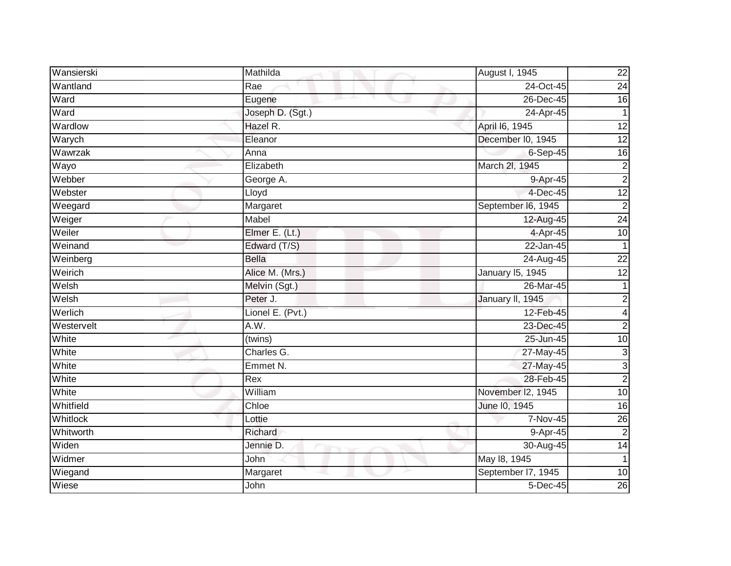| Wansierski      | Mathilda             | August I, 1945     | $\overline{22}$         |
|-----------------|----------------------|--------------------|-------------------------|
| Wantland        | Rae                  | 24-Oct-45          | 24                      |
| Ward            | Eugene               | 26-Dec-45          | 16                      |
| Ward            | Joseph D. (Sgt.)     | 24-Apr-45          |                         |
| Wardlow         | Hazel R.             | April 16, 1945     | 12                      |
| Warych          | Eleanor              | December I0, 1945  | 12                      |
| Wawrzak         | Anna                 | $6-Sep-45$         | $\overline{16}$         |
| Wayo            | Elizabeth            | March 2I, 1945     | $\overline{c}$          |
| Webber          | George A.            | 9-Apr-45           | $\overline{c}$          |
| Webster         | Lloyd                | 4-Dec-45           | $\overline{12}$         |
| Weegard         | Margaret             | September I6, 1945 | $\overline{c}$          |
| Weiger          | Mabel                | 12-Aug-45          | 24                      |
| Weiler          | Elmer E. (Lt.)       | 4-Apr-45           | 10                      |
| Weinand         | Edward (T/S)         | 22-Jan-45          | 1                       |
| Weinberg        | <b>Bella</b>         | 24-Aug-45          | $\overline{22}$         |
| Weirich         | Alice M. (Mrs.)      | January 15, 1945   | 12                      |
| Welsh           | Melvin (Sgt.)        | 26-Mar-45          | 1                       |
| Welsh           | Peter J.             | January II, 1945   | $\overline{c}$          |
| Werlich         | Lionel E. (Pvt.)     | 12-Feb-45          | $\overline{\mathbf{4}}$ |
| Westervelt      | A.W.                 | 23-Dec-45          | $\overline{c}$          |
| White           | $\overline{$ (twins) | 25-Jun-45          | 10                      |
| White           | Charles G.           | 27-May-45          | دن                      |
| White           | Emmet N.             | 27-May-45          | $\mathbf{3}$            |
| White           | Rex                  | 28-Feb-45          | $\overline{c}$          |
| White           | William              | November I2, 1945  | 10                      |
| Whitfield       | Chloe                | June 10, 1945      | $\overline{16}$         |
| <b>Whitlock</b> | Lottie               | 7-Nov-45           | 26                      |
| Whitworth       | Richard              | 9-Apr-45           | $\overline{2}$          |
| Widen           | Jennie D.            | 30-Aug-45          | $\overline{14}$         |
| Widmer          | John                 | May 18, 1945       | 1                       |
| Wiegand         | Margaret             | September I7, 1945 | $\overline{10}$         |
| Wiese           | John                 | 5-Dec-45           | 26                      |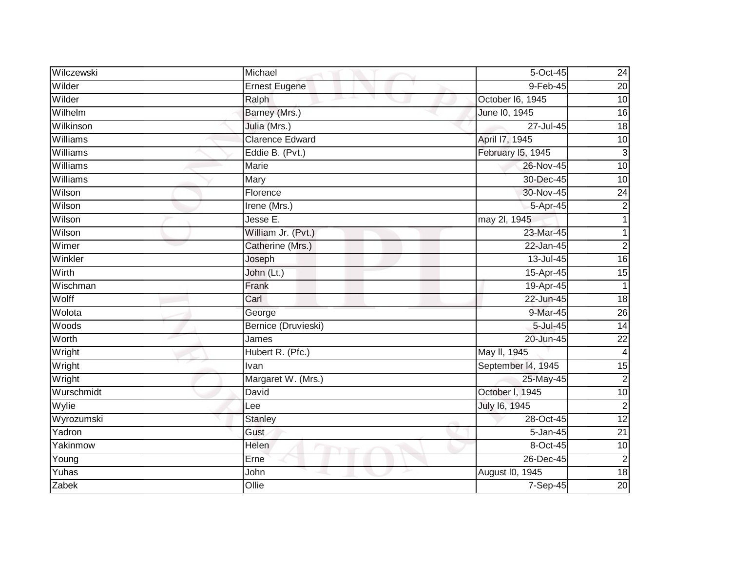| Wilczewski | Michael                | $\overline{5}$ -Oct-45 | 24              |
|------------|------------------------|------------------------|-----------------|
| Wilder     | <b>Ernest Eugene</b>   | 9-Feb-45               | $\overline{20}$ |
| Wilder     | Ralph                  | October I6, 1945       | 10              |
| Wilhelm    | Barney (Mrs.)          | June 10, 1945          | $\overline{16}$ |
| Wilkinson  | Julia (Mrs.)           | 27-Jul-45              | $\frac{1}{8}$   |
| Williams   | <b>Clarence Edward</b> | April 17, 1945         | 10              |
| Williams   | Eddie B. (Pvt.)        | February I5, 1945      | س               |
| Williams   | Marie                  | 26-Nov-45              | $\overline{10}$ |
| Williams   | Mary                   | 30-Dec-45              | 10              |
| Wilson     | Florence               | 30-Nov-45              | 24              |
| Wilson     | Irene (Mrs.)           | 5-Apr-45               | $\overline{2}$  |
| Wilson     | Jesse E.               | may 2l, 1945           | 1               |
| Wilson     | William Jr. (Pvt.)     | 23-Mar-45              |                 |
| Wimer      | Catherine (Mrs.)       | 22-Jan-45              | $\overline{2}$  |
| Winkler    | Joseph                 | 13-Jul-45              | 16              |
| Wirth      | John (Lt.)             | 15-Apr-45              | 15              |
| Wischman   | Frank                  | 19-Apr-45              | $\mathbf{1}$    |
| Wolff      | Carl                   | 22-Jun-45              | 18              |
| Wolota     | George                 | 9-Mar-45               | 26              |
| Woods      | Bernice (Druvieski)    | $5 -$ Jul $-45$        | 14              |
| Worth      | James                  | 20-Jun-45              | $\overline{22}$ |
| Wright     | Hubert R. (Pfc.)       | May II, 1945           | $\overline{4}$  |
| Wright     | Ivan                   | September I4, 1945     | 15              |
| Wright     | Margaret W. (Mrs.)     | 25-May-45              | $\overline{c}$  |
| Wurschmidt | David                  | October I, 1945        | $\overline{10}$ |
| Wylie      | Lee                    | July 16, 1945          | $\overline{2}$  |
| Wyrozumski | <b>Stanley</b>         | 28-Oct-45              | 12              |
| Yadron     | Gust                   | 5-Jan-45               | $\overline{21}$ |
| Yakinmow   | Helen                  | 8-Oct-45               | $\overline{10}$ |
| Young      | Erne                   | 26-Dec-45              | $\overline{c}$  |
| Yuhas      | John                   | August I0, 1945        | 18              |
| Zabek      | Ollie                  | 7-Sep-45               | 20              |